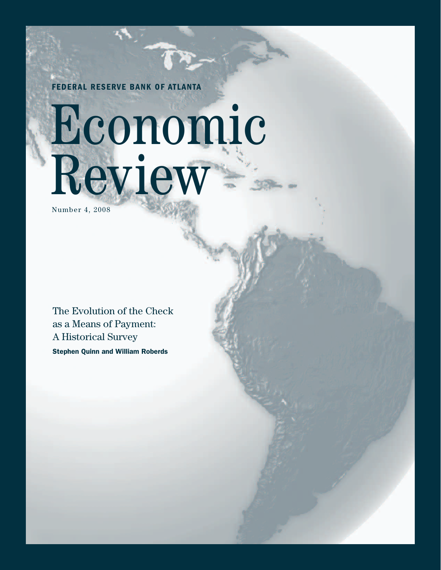**FEDERAL RESERVE BANK OF ATLANTA**

# Economic Review

Number 4, 2008

The Evolution of the Check as a Means of Payment: A Historical Survey

**Stephen Quinn and William Roberds**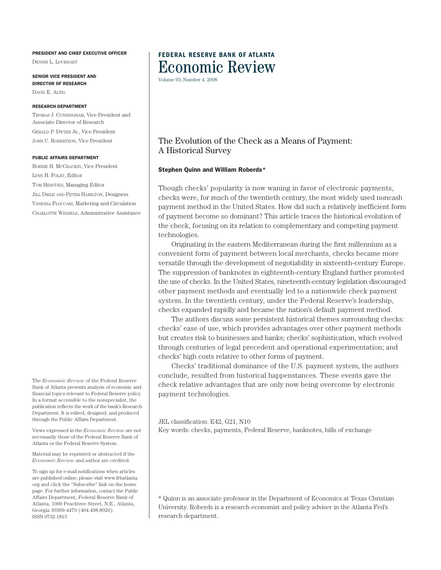#### **PRESIDENT AND CHIEF EXECUTIVE OFFICER**

DENNIS L. LOCKHART

**SENIOR VICE PRESIDENT AND DIRECTOR OF RESEARCH** DAVID E. ALTIG

#### **RESEARCH DEPARTMENT**

THOMAS J. CUNNINGHAM, Vice President and Associate Director of Research GERALD P. DWYER JR., Vice President JOHN C. ROBERTSON, Vice President

#### **PUBLIC AFFAIRS DEPARTMENT**

BOBBIE H. MCCRACKIN, Vice President LYNN H. FOLEY, Editor TOM HEINTJES, Managing Editor JILL DIBLE AND PETER HAMILTON, Designers VANESSA FLOCCARI, Marketing and Circulation CHARLOTTE WESSELS, Administrative Assistance

The *Economic Review* of the Federal Reserve Bank of Atlanta presents analysis of economic and financial topics relevant to Federal Reserve policy. In a format accessible to the nonspecialist, the publication reflects the work of the bank's Research Department. It is edited, designed, and produced through the Public Affairs Department.

Views expressed in the *Economic Review* are not necessarily those of the Federal Reserve Bank of Atlanta or the Federal Reserve System.

Material may be reprinted or abstracted if the *Economic Review* and author are credited.

To sign up for e-mail notifications when articles are published online, please visit www.frbatlanta. org and click the "Subscribe" link on the home page. For further information, contact the Public Affairs Department, Federal Reserve Bank of Atlanta, 1000 Peachtree Street, N.E., Atlanta, Georgia 30309-4470 (404.498.8020). ISSN 0732-1813

## **FEDERAL RESERVE BANK OF ATLANTA** Economic Review

Volume 93, Number 4, 2008

## The Evolution of the Check as a Means of Payment: A Historical Survey

#### **Stephen Quinn and William Roberds\***

Though checks' popularity is now waning in favor of electronic payments, checks were, for much of the twentieth century, the most widely used noncash payment method in the United States. How did such a relatively inefficient form of payment become so dominant? This article traces the historical evolution of the check, focusing on its relation to complementary and competing payment technologies.

Originating in the eastern Mediterranean during the first millennium as a convenient form of payment between local merchants, checks became more versatile through the development of negotiability in sixteenth-century Europe. The suppression of banknotes in eighteenth-century England further promoted the use of checks. In the United States, nineteenth-century legislation discouraged other payment methods and eventually led to a nationwide check payment system. In the twentieth century, under the Federal Reserve's leadership, checks expanded rapidly and became the nation's default payment method.

The authors discuss some persistent historical themes surrounding checks: checks' ease of use, which provides advantages over other payment methods but creates risk to businesses and banks; checks' sophistication, which evolved through centuries of legal precedent and operational experimentation; and checks' high costs relative to other forms of payment.

Checks' traditional dominance of the U.S. payment system, the authors conclude, resulted from historical happenstances. These events gave the check relative advantages that are only now being overcome by electronic payment technologies.

JEL classification: E42, G21, N10

Key words: checks, payments, Federal Reserve, banknotes, bills of exchange

\* Quinn is an associate professor in the Department of Economics at Texas Christian University. Roberds is a research economist and policy adviser in the Atlanta Fed's research department.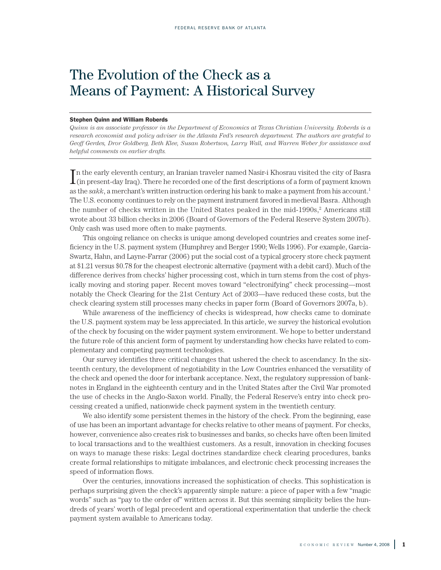# The Evolution of the Check as a Means of Payment: A Historical Survey

#### **Stephen Quinn and William Roberds**

Quinn is an associate professor in the Department of Economics at Texas Christian University. Roberds is a *research economist and policy adviser in the Atlanta Fed's research department. The authors are grateful to Geoff Gerdes, Dror Goldberg, Beth Klee, Susan Robertson, Larry Wall, and Warren Weber for assistance and helpful comments on earlier drafts.*

 $\prod$ n the early eleventh century, an Iranian traveler named Nasir-i Khosrau visited the city of Basra<br>(in present-day Iraq). There he recorded one of the first descriptions of a form of payment known n the early eleventh century, an Iranian traveler named Nasir-i Khosrau visited the city of Basra as the *sakk*, a merchant's written instruction ordering his bank to make a payment from his account. 1 The U.S. economy continues to rely on the payment instrument favored in medieval Basra. Although the number of checks written in the United States peaked in the mid-1990s, <sup>2</sup> Americans still wrote about 33 billion checks in 2006 (Board of Governors of the Federal Reserve System 2007b). Only cash was used more often to make payments.

This ongoing reliance on checks is unique among developed countries and creates some inefficiency in the U.S. payment system (Humphrey and Berger 1990; Wells 1996). For example, Garcia-Swartz, Hahn, and Layne-Farrar (2006) put the social cost of a typical grocery store check payment at \$1.21 versus \$0.78 for the cheapest electronic alternative (payment with a debit card). Much of the difference derives from checks' higher processing cost, which in turn stems from the cost of physically moving and storing paper. Recent moves toward "electronifying" check processing—most notably the Check Clearing for the 21st Century Act of 2003—have reduced these costs, but the check clearing system still processes many checks in paper form (Board of Governors 2007a, b).

While awareness of the inefficiency of checks is widespread, how checks came to dominate the U.S. payment system may be less appreciated. In this article, we survey the historical evolution of the check by focusing on the wider payment system environment. We hope to better understand the future role of this ancient form of payment by understanding how checks have related to complementary and competing payment technologies.

Our survey identifies three critical changes that ushered the check to ascendancy. In the sixteenth century, the development of negotiability in the Low Countries enhanced the versatility of the check and opened the door for interbank acceptance. Next, the regulatory suppression of banknotes in England in the eighteenth century and in the United States after the Civil War promoted the use of checks in the Anglo-Saxon world. Finally, the Federal Reserve's entry into check processing created a unified, nationwide check payment system in the twentieth century.

We also identify some persistent themes in the history of the check. From the beginning, ease of use has been an important advantage for checks relative to other means of payment. For checks, however, convenience also creates risk to businesses and banks, so checks have often been limited to local transactions and to the wealthiest customers. As a result, innovation in checking focuses on ways to manage these risks: Legal doctrines standardize check clearing procedures, banks create formal relationships to mitigate imbalances, and electronic check processing increases the speed of information flows.

Over the centuries, innovations increased the sophistication of checks. This sophistication is perhaps surprising given the check's apparently simple nature: a piece of paper with a few "magic words" such as "pay to the order of" written across it. But this seeming simplicity belies the hundreds of years' worth of legal precedent and operational experimentation that underlie the check payment system available to Americans today.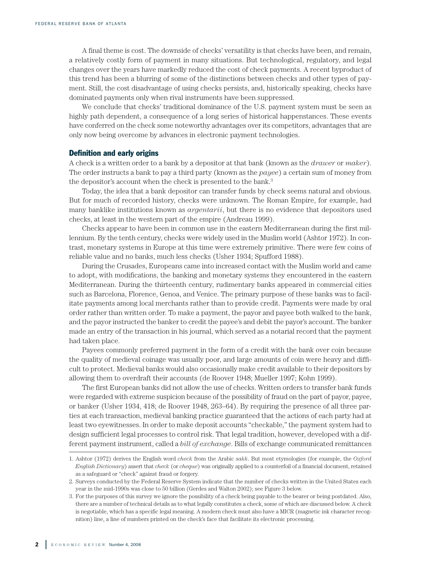A final theme is cost. The downside of checks' versatility is that checks have been, and remain, a relatively costly form of payment in many situations. But technological, regulatory, and legal changes over the years have markedly reduced the cost of check payments. A recent byproduct of this trend has been a blurring of some of the distinctions between checks and other types of payment. Still, the cost disadvantage of using checks persists, and, historically speaking, checks have dominated payments only when rival instruments have been suppressed.

We conclude that checks' traditional dominance of the U.S. payment system must be seen as highly path dependent, a consequence of a long series of historical happenstances. These events have conferred on the check some noteworthy advantages over its competitors, advantages that are only now being overcome by advances in electronic payment technologies.

#### **Definition and early origins**

A check is a written order to a bank by a depositor at that bank (known as the *drawer* or *maker*). The order instructs a bank to pay a third party (known as the *payee*) a certain sum of money from the depositor's account when the check is presented to the bank. 3

Today, the idea that a bank depositor can transfer funds by check seems natural and obvious. But for much of recorded history, checks were unknown. The Roman Empire, for example, had many banklike institutions known as *argentarii*, but there is no evidence that depositors used checks, at least in the western part of the empire (Andreau 1999).

Checks appear to have been in common use in the eastern Mediterranean during the first millennium. By the tenth century, checks were widely used in the Muslim world (Ashtor 1972). In contrast, monetary systems in Europe at this time were extremely primitive. There were few coins of reliable value and no banks, much less checks (Usher 1934; Spufford 1988).

During the Crusades, Europeans came into increased contact with the Muslim world and came to adopt, with modifications, the banking and monetary systems they encountered in the eastern Mediterranean. During the thirteenth century, rudimentary banks appeared in commercial cities such as Barcelona, Florence, Genoa, and Venice. The primary purpose of these banks was to facilitate payments among local merchants rather than to provide credit. Payments were made by oral order rather than written order. To make a payment, the payor and payee both walked to the bank, and the payor instructed the banker to credit the payee's and debit the payor's account. The banker made an entry of the transaction in his journal, which served as a notarial record that the payment had taken place.

Payees commonly preferred payment in the form of a credit with the bank over coin because the quality of medieval coinage was usually poor, and large amounts of coin were heavy and difficult to protect. Medieval banks would also occasionally make credit available to their depositors by allowing them to overdraft their accounts (de Roover 1948; Mueller 1997; Kohn 1999).

The first European banks did not allow the use of checks. Written orders to transfer bank funds were regarded with extreme suspicion because of the possibility of fraud on the part of payor, payee, or banker (Usher 1934, 418; de Roover 1948, 263–64). By requiring the presence of all three parties at each transaction, medieval banking practice guaranteed that the actions of each party had at least two eyewitnesses. In order to make deposit accounts "checkable," the payment system had to design sufficient legal processes to control risk. That legal tradition, however, developed with a different payment instrument, called a *bill of exchange*. Bills of exchange communicated remittances

<sup>1.</sup> Ashtor (1972) derives the English word *check* from the Arabic *sakk*. But most etymologies (for example, the *Oxford English Dictionary*) assert that *check* (or *cheque*) was originally applied to a counterfoil of a financial document, retained as a safeguard or "check" against fraud or forgery.

<sup>2.</sup> Surveys conducted by the Federal Reserve System indicate that the number of checks written in the United States each year in the mid-1990s was close to 50 billion (Gerdes and Walton 2002); see Figure 3 below.

<sup>3.</sup> For the purposes of this survey we ignore the possibility of a check being payable to the bearer or being postdated. Also, there are a number of technical details as to what legally constitutes a check, some of which are discussed below. A check is negotiable, which has a specific legal meaning. A modern check must also have a MICR (magnetic ink character recognition) line, a line of numbers printed on the check's face that facilitate its electronic processing.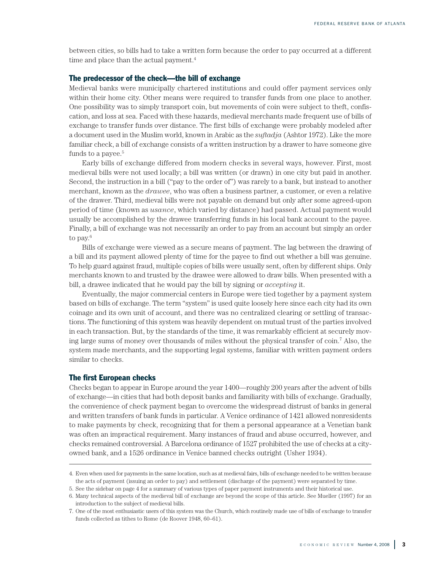between cities, so bills had to take a written form because the order to pay occurred at a different time and place than the actual payment. 4

#### **The predecessor of the check—the bill of exchange**

Medieval banks were municipally chartered institutions and could offer payment services only within their home city. Other means were required to transfer funds from one place to another. One possibility was to simply transport coin, but movements of coin were subject to theft, confiscation, and loss at sea. Faced with these hazards, medieval merchants made frequent use of bills of exchange to transfer funds over distance. The first bills of exchange were probably modeled after a document used in the Muslim world, known in Arabic as the *suftadja* (Ashtor 1972). Like the more familiar check, a bill of exchange consists of a written instruction by a drawer to have someone give funds to a payee. 5

Early bills of exchange differed from modern checks in several ways, however. First, most medieval bills were not used locally; a bill was written (or drawn) in one city but paid in another. Second, the instruction in a bill ("pay to the order of") was rarely to a bank, but instead to another merchant, known as the *drawee*, who was often a business partner, a customer, or even a relative of the drawer. Third, medieval bills were not payable on demand but only after some agreed-upon period of time (known as *usance*, which varied by distance) had passed. Actual payment would usually be accomplished by the drawee transferring funds in his local bank account to the payee. Finally, a bill of exchange was not necessarily an order to pay from an account but simply an order to pay. 6

Bills of exchange were viewed as a secure means of payment. The lag between the drawing of a bill and its payment allowed plenty of time for the payee to find out whether a bill was genuine. To help guard against fraud, multiple copies of bills were usually sent, often by different ships. Only merchants known to and trusted by the drawee were allowed to draw bills. When presented with a bill, a drawee indicated that he would pay the bill by signing or *accepting* it.

Eventually, the major commercial centers in Europe were tied together by a payment system based on bills of exchange. The term "system" is used quite loosely here since each city had its own coinage and its own unit of account, and there was no centralized clearing or settling of transactions. The functioning of this system was heavily dependent on mutual trust of the parties involved in each transaction. But, by the standards of the time, it was remarkably efficient at securely moving large sums of money over thousands of miles without the physical transfer of coin. <sup>7</sup> Also, the system made merchants, and the supporting legal systems, familiar with written payment orders similar to checks.

#### **The first European checks**

Checks began to appear in Europe around the year 1400—roughly 200 years after the advent of bills of exchange—in cities that had both deposit banks and familiarity with bills of exchange. Gradually, the convenience of check payment began to overcome the widespread distrust of banks in general and written transfers of bank funds in particular. A Venice ordinance of 1421 allowed nonresidents to make payments by check, recognizing that for them a personal appearance at a Venetian bank was often an impractical requirement. Many instances of fraud and abuse occurred, however, and checks remained controversial. A Barcelona ordinance of 1527 prohibited the use of checks at a cityowned bank, and a 1526 ordinance in Venice banned checks outright (Usher 1934).

<sup>4.</sup> Even when used for payments in the same location, such as at medieval fairs, bills of exchange needed to be written because the acts of payment (issuing an order to pay) and settlement (discharge of the payment) were separated by time.

<sup>5.</sup> See the sidebar on page 4 for a summary of various types of paper payment instruments and their historical use.

<sup>6.</sup> Many technical aspects of the medieval bill of exchange are beyond the scope of this article. See Mueller (1997) for an introduction to the subject of medieval bills.

<sup>7.</sup> One of the most enthusiastic users of this system was the Church, which routinely made use of bills of exchange to transfer funds collected as tithes to Rome (de Roover 1948, 60–61).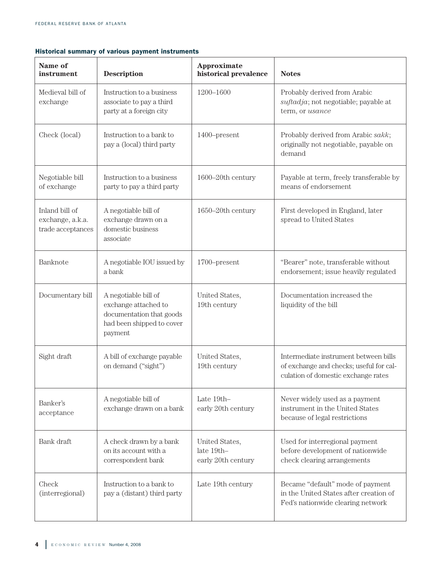### **Historical summary of various payment instruments**

| Name of<br>instrument                                   | <b>Description</b>                                                                                               | Approximate<br>historical prevalence               | <b>Notes</b>                                                                                                            |
|---------------------------------------------------------|------------------------------------------------------------------------------------------------------------------|----------------------------------------------------|-------------------------------------------------------------------------------------------------------------------------|
| Medieval bill of<br>exchange                            | Instruction to a business<br>associate to pay a third<br>party at a foreign city                                 | 1200-1600                                          | Probably derived from Arabic<br>suftadja; not negotiable; payable at<br>term, or usance                                 |
| Check (local)                                           | Instruction to a bank to<br>pay a (local) third party                                                            | 1400-present                                       | Probably derived from Arabic sakk;<br>originally not negotiable, payable on<br>demand                                   |
| Negotiable bill<br>of exchange                          | Instruction to a business<br>party to pay a third party                                                          | 1600-20th century                                  | Payable at term, freely transferable by<br>means of endorsement                                                         |
| Inland bill of<br>exchange, a.k.a.<br>trade acceptances | A negotiable bill of<br>exchange drawn on a<br>domestic business<br>associate                                    | 1650-20th century                                  | First developed in England, later<br>spread to United States                                                            |
| Banknote                                                | A negotiable IOU issued by<br>a bank                                                                             | 1700-present                                       | "Bearer" note, transferable without<br>endorsement; issue heavily regulated                                             |
| Documentary bill                                        | A negotiable bill of<br>exchange attached to<br>documentation that goods<br>had been shipped to cover<br>payment | United States,<br>19th century                     | Documentation increased the<br>liquidity of the bill                                                                    |
| Sight draft                                             | A bill of exchange payable<br>on demand ("sight")                                                                | United States,<br>19th century                     | Intermediate instrument between bills<br>of exchange and checks; useful for cal-<br>culation of domestic exchange rates |
| Banker's<br>acceptance                                  | A negotiable bill of<br>exchange drawn on a bank                                                                 | Late 19th-<br>early 20th century                   | Never widely used as a payment<br>instrument in the United States<br>because of legal restrictions                      |
| Bank draft                                              | A check drawn by a bank<br>on its account with a<br>correspondent bank                                           | United States,<br>late 19th-<br>early 20th century | Used for interregional payment<br>before development of nationwide<br>check clearing arrangements                       |
| Check<br>(interregional)                                | Instruction to a bank to<br>pay a (distant) third party                                                          | Late 19th century                                  | Became "default" mode of payment<br>in the United States after creation of<br>Fed's nationwide clearing network         |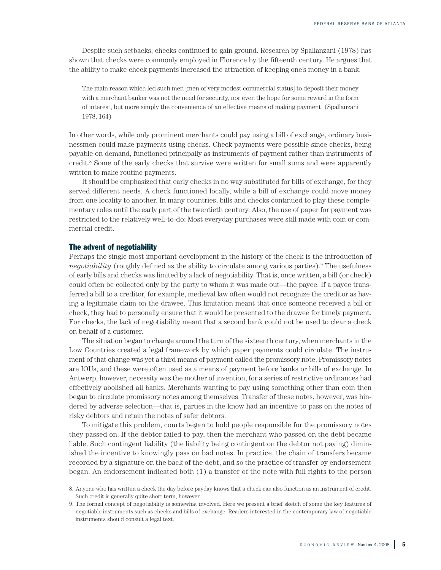Despite such setbacks, checks continued to gain ground. Research by Spallanzani (1978) has shown that checks were commonly employed in Florence by the fifteenth century. He argues that the ability to make check payments increased the attraction of keeping one's money in a bank:

The main reason which led such men [men of very modest commercial status] to deposit their money with a merchant banker was not the need for security, nor even the hope for some reward in the form of interest, but more simply the convenience of an effective means of making payment. (Spallanzani 1978, 164)

In other words, while only prominent merchants could pay using a bill of exchange, ordinary businessmen could make payments using checks. Check payments were possible since checks, being payable on demand, functioned principally as instruments of payment rather than instruments of credit. <sup>8</sup> Some of the early checks that survive were written for small sums and were apparently written to make routine payments.

It should be emphasized that early checks in no way substituted for bills of exchange, for they served different needs. A check functioned locally, while a bill of exchange could move money from one locality to another. In many countries, bills and checks continued to play these complementary roles until the early part of the twentieth century. Also, the use of paper for payment was restricted to the relatively well-to-do: Most everyday purchases were still made with coin or commercial credit.

#### **The advent of negotiability**

Perhaps the single most important development in the history of the check is the introduction of *negotiability* (roughly defined as the ability to circulate among various parties). <sup>9</sup> The usefulness of early bills and checks was limited by a lack of negotiability. That is, once written, a bill (or check) could often be collected only by the party to whom it was made out—the payee. If a payee transferred a bill to a creditor, for example, medieval law often would not recognize the creditor as having a legitimate claim on the drawee. This limitation meant that once someone received a bill or check, they had to personally ensure that it would be presented to the drawee for timely payment. For checks, the lack of negotiability meant that a second bank could not be used to clear a check on behalf of a customer.

The situation began to change around the turn of the sixteenth century, when merchants in the Low Countries created a legal framework by which paper payments could circulate. The instrument of that change was yet a third means of payment called the promissory note. Promissory notes are IOUs, and these were often used as a means of payment before banks or bills of exchange. In Antwerp, however, necessity was the mother of invention, for a series of restrictive ordinances had effectively abolished all banks. Merchants wanting to pay using something other than coin then began to circulate promissory notes among themselves. Transfer of these notes, however, was hindered by adverse selection—that is, parties in the know had an incentive to pass on the notes of risky debtors and retain the notes of safer debtors.

To mitigate this problem, courts began to hold people responsible for the promissory notes they passed on. If the debtor failed to pay, then the merchant who passed on the debt became liable. Such contingent liability (the liability being contingent on the debtor not paying) diminished the incentive to knowingly pass on bad notes. In practice, the chain of transfers became recorded by a signature on the back of the debt, and so the practice of transfer by endorsement began. An endorsement indicated both (1) a transfer of the note with full rights to the person

<sup>8.</sup> Anyone who has written a check the day before payday knows that a check can also function as an instrument of credit. Such credit is generally quite short term, however.

<sup>9.</sup> The formal concept of negotiability is somewhat involved. Here we present a brief sketch of some the key features of negotiable instruments such as checks and bills of exchange. Readers interested in the contemporary law of negotiable instruments should consult a legal text.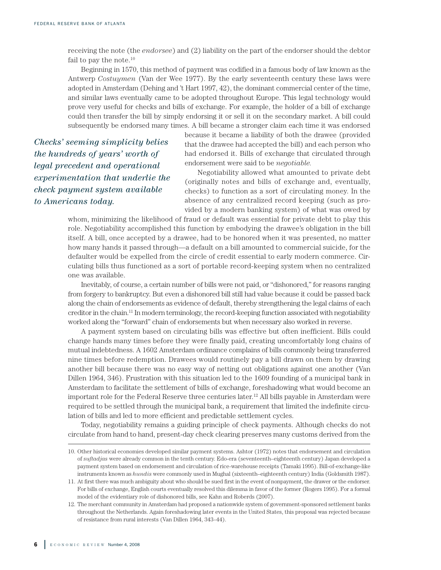receiving the note (the *endorsee*) and (2) liability on the part of the endorser should the debtor fail to pay the note. 10

Beginning in 1570, this method of payment was codified in a famous body of law known as the Antwerp *Costuymen* (Van der Wee 1977). By the early seventeenth century these laws were adopted in Amsterdam (Dehing and 't Hart 1997, 42), the dominant commercial center of the time, and similar laws eventually came to be adopted throughout Europe. This legal technology would prove very useful for checks and bills of exchange. For example, the holder of a bill of exchange could then transfer the bill by simply endorsing it or sell it on the secondary market. A bill could subsequently be endorsed many times. A bill became a stronger claim each time it was endorsed

*Checks' seeming simplicity belies the hundreds of years' worth of legal precedent and operational experimentation that underlie the check payment system available to Americans today.*

because it became a liability of both the drawee (provided that the drawee had accepted the bill) and each person who had endorsed it. Bills of exchange that circulated through endorsement were said to be *negotiable.*

Negotiability allowed what amounted to private debt (originally notes and bills of exchange and, eventually, checks) to function as a sort of circulating money. In the absence of any centralized record keeping (such as provided by a modern banking system) of what was owed by

whom, minimizing the likelihood of fraud or default was essential for private debt to play this role. Negotiability accomplished this function by embodying the drawee's obligation in the bill itself. A bill, once accepted by a drawee, had to be honored when it was presented, no matter how many hands it passed through—a default on a bill amounted to commercial suicide, for the defaulter would be expelled from the circle of credit essential to early modern commerce. Circulating bills thus functioned as a sort of portable record-keeping system when no centralized one was available.

Inevitably, of course, a certain number of bills were not paid, or "dishonored," for reasons ranging from forgery to bankruptcy. But even a dishonored bill still had value because it could be passed back along the chain of endorsements as evidence of default, thereby strengthening the legal claims of each creditor in the chain.<sup>11</sup> In modern terminology, the record-keeping function associated with negotiability worked along the "forward" chain of endorsements but when necessary also worked in reverse.

A payment system based on circulating bills was effective but often inefficient. Bills could change hands many times before they were finally paid, creating uncomfortably long chains of mutual indebtedness. A 1602 Amsterdam ordinance complains of bills commonly being transferred nine times before redemption. Drawees would routinely pay a bill drawn on them by drawing another bill because there was no easy way of netting out obligations against one another (Van Dillen 1964, 346). Frustration with this situation led to the 1609 founding of a municipal bank in Amsterdam to facilitate the settlement of bills of exchange, foreshadowing what would become an important role for the Federal Reserve three centuries later. <sup>12</sup> All bills payable in Amsterdam were required to be settled through the municipal bank, a requirement that limited the indefinite circulation of bills and led to more efficient and predictable settlement cycles.

Today, negotiability remains a guiding principle of check payments. Although checks do not circulate from hand to hand, present-day check clearing preserves many customs derived from the

<sup>10.</sup> Other historical economies developed similar payment systems. Ashtor (1972) notes that endorsement and circulation of *suftadjas* were already common in the tenth century. Edo-era (seventeenth–eighteenth century) Japan developed a payment system based on endorsement and circulation of rice-warehouse receipts (Tamaki 1995). Bill-of-exchange-like instruments known as *hundis* were commonly used in Mughal (sixteenth–eighteenth century) India (Goldsmith 1987).

<sup>11.</sup> At first there was much ambiguity about who should be sued first in the event of nonpayment, the drawer or the endorser. For bills of exchange, English courts eventually resolved this dilemma in favor of the former (Rogers 1995). For a formal model of the evidentiary role of dishonored bills, see Kahn and Roberds (2007).

<sup>12.</sup> The merchant community in Amsterdam had proposed a nationwide system of government-sponsored settlement banks throughout the Netherlands. Again foreshadowing later events in the United States, this proposal was rejected because of resistance from rural interests (Van Dillen 1964, 343–44).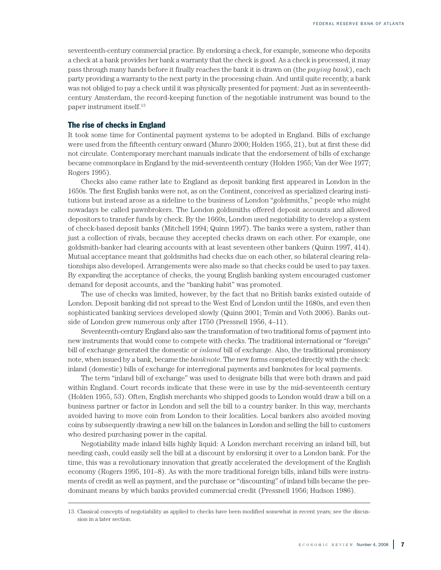seventeenth-century commercial practice. By endorsing a check, for example, someone who deposits a check at a bank provides her bank a warranty that the check is good. As a check is processed, it may pass through many hands before it finally reaches the bank it is drawn on (the *paying bank*), each party providing a warranty to the next party in the processing chain. And until quite recently, a bank was not obliged to pay a check until it was physically presented for payment: Just as in seventeenthcentury Amsterdam, the record-keeping function of the negotiable instrument was bound to the paper instrument itself. 13

#### **The rise of checks in England**

It took some time for Continental payment systems to be adopted in England. Bills of exchange were used from the fifteenth century onward (Munro 2000; Holden 1955, 21), but at first these did not circulate. Contemporary merchant manuals indicate that the endorsement of bills of exchange became commonplace in England by the mid-seventeenth century (Holden 1955; Van der Wee 1977; Rogers 1995).

Checks also came rather late to England as deposit banking first appeared in London in the 1650s. The first English banks were not, as on the Continent, conceived as specialized clearing institutions but instead arose as a sideline to the business of London "goldsmiths," people who might nowadays be called pawnbrokers. The London goldsmiths offered deposit accounts and allowed depositors to transfer funds by check. By the 1660s, London used negotiability to develop a system of check-based deposit banks (Mitchell 1994; Quinn 1997). The banks were a system, rather than just a collection of rivals, because they accepted checks drawn on each other. For example, one goldsmith-banker had clearing accounts with at least seventeen other bankers (Quinn 1997, 414). Mutual acceptance meant that goldsmiths had checks due on each other, so bilateral clearing relationships also developed. Arrangements were also made so that checks could be used to pay taxes. By expanding the acceptance of checks, the young English banking system encouraged customer demand for deposit accounts, and the "banking habit" was promoted.

The use of checks was limited, however, by the fact that no British banks existed outside of London. Deposit banking did not spread to the West End of London until the 1680s, and even then sophisticated banking services developed slowly (Quinn 2001; Temin and Voth 2006). Banks outside of London grew numerous only after 1750 (Pressnell 1956, 4–11).

Seventeenth-century England also saw the transformation of two traditional forms of payment into new instruments that would come to compete with checks. The traditional international or "foreign" bill of exchange generated the domestic or *inland* bill of exchange. Also, the traditional promissory note, when issued by a bank, became the *banknote*. The new forms competed directly with the check: inland (domestic) bills of exchange for interregional payments and banknotes for local payments.

The term "inland bill of exchange" was used to designate bills that were both drawn and paid within England. Court records indicate that these were in use by the mid-seventeenth century (Holden 1955, 53). Often, English merchants who shipped goods to London would draw a bill on a business partner or factor in London and sell the bill to a country banker. In this way, merchants avoided having to move coin from London to their localities. Local bankers also avoided moving coins by subsequently drawing a new bill on the balances in London and selling the bill to customers who desired purchasing power in the capital.

Negotiability made inland bills highly liquid: A London merchant receiving an inland bill, but needing cash, could easily sell the bill at a discount by endorsing it over to a London bank. For the time, this was a revolutionary innovation that greatly accelerated the development of the English economy (Rogers 1995, 101–8). As with the more traditional foreign bills, inland bills were instruments of credit as well as payment, and the purchase or "discounting" of inland bills became the predominant means by which banks provided commercial credit (Pressnell 1956; Hudson 1986).

<sup>13.</sup> Classical concepts of negotiability as applied to checks have been modified somewhat in recent years; see the discussion in a later section.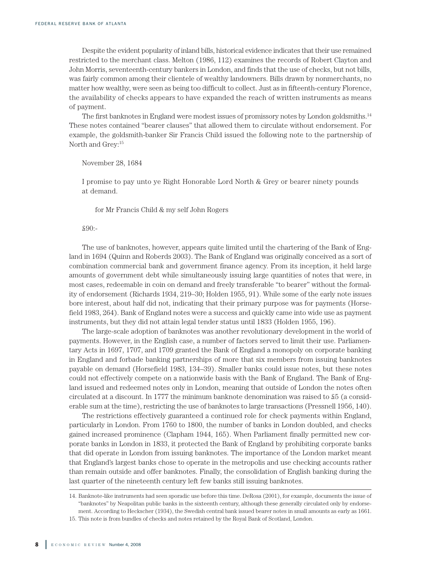Despite the evident popularity of inland bills, historical evidence indicates that their use remained restricted to the merchant class. Melton (1986, 112) examines the records of Robert Clayton and John Morris, seventeenth-century bankers in London, and finds that the use of checks, but not bills, was fairly common among their clientele of wealthy landowners. Bills drawn by nonmerchants, no matter how wealthy, were seen as being too difficult to collect. Just as in fifteenth-century Florence, the availability of checks appears to have expanded the reach of written instruments as means of payment.

The first banknotes in England were modest issues of promissory notes by London goldsmiths. 14 These notes contained "bearer clauses" that allowed them to circulate without endorsement. For example, the goldsmith-banker Sir Francis Child issued the following note to the partnership of North and Grey: 15

#### November 28, 1684

I promise to pay unto ye Right Honorable Lord North & Grey or bearer ninety pounds at demand.

for Mr Francis Child & my self John Rogers

£90:-

The use of banknotes, however, appears quite limited until the chartering of the Bank of England in 1694 (Quinn and Roberds 2003). The Bank of England was originally conceived as a sort of combination commercial bank and government finance agency. From its inception, it held large amounts of government debt while simultaneously issuing large quantities of notes that were, in most cases, redeemable in coin on demand and freely transferable "to bearer" without the formality of endorsement (Richards 1934, 219–30; Holden 1955, 91). While some of the early note issues bore interest, about half did not, indicating that their primary purpose was for payments (Horsefield 1983, 264). Bank of England notes were a success and quickly came into wide use as payment instruments, but they did not attain legal tender status until 1833 (Holden 1955, 196).

The large-scale adoption of banknotes was another revolutionary development in the world of payments. However, in the English case, a number of factors served to limit their use. Parliamentary Acts in 1697, 1707, and 1709 granted the Bank of England a monopoly on corporate banking in England and forbade banking partnerships of more that six members from issuing banknotes payable on demand (Horsefield 1983, 134–39). Smaller banks could issue notes, but these notes could not effectively compete on a nationwide basis with the Bank of England. The Bank of England issued and redeemed notes only in London, meaning that outside of London the notes often circulated at a discount. In 1777 the minimum banknote denomination was raised to £5 (a considerable sum at the time), restricting the use of banknotes to large transactions (Pressnell 1956, 140).

The restrictions effectively guaranteed a continued role for check payments within England, particularly in London. From 1760 to 1800, the number of banks in London doubled, and checks gained increased prominence (Clapham 1944, 165). When Parliament finally permitted new corporate banks in London in 1833, it protected the Bank of England by prohibiting corporate banks that did operate in London from issuing banknotes. The importance of the London market meant that England's largest banks chose to operate in the metropolis and use checking accounts rather than remain outside and offer banknotes. Finally, the consolidation of English banking during the last quarter of the nineteenth century left few banks still issuing banknotes.

<sup>14.</sup> Banknote-like instruments had seen sporadic use before this time. DeRosa (2001), for example, documents the issue of "banknotes" by Neapolitan public banks in the sixteenth century, although these generally circulated only by endorsement. According to Heckscher (1934), the Swedish central bank issued bearer notes in small amounts as early as 1661.

<sup>15.</sup> This note is from bundles of checks and notes retained by the Royal Bank of Scotland, London.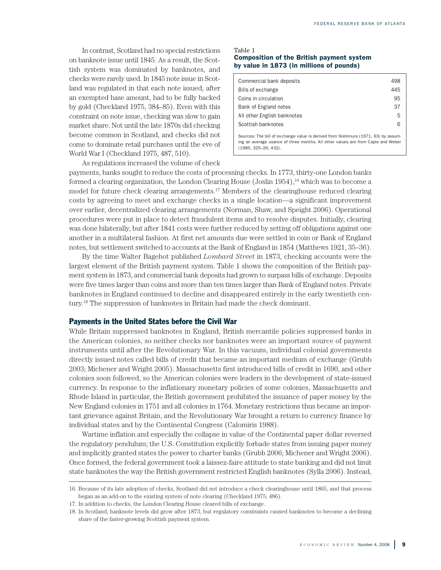In contrast, Scotland had no special restrictions on banknote issue until 1845. As a result, the Scottish system was dominated by banknotes, and checks were rarely used. In 1845 note issue in Scotland was regulated in that each note issued, after an exempted base amount, had to be fully backed by gold (Checkland 1975, 384–85). Even with this constraint on note issue, checking was slow to gain market share. Not until the late 1870s did checking become common in Scotland, and checks did not come to dominate retail purchases until the eve of World War I (Checkland 1975, 487, 510).

As regulations increased the volume of check

#### Table 1 **Composition of the British payment system by value in 1873 (in millions of pounds)**

| Commercial bank deposits                                                                                                                                                                       | 498 |  |
|------------------------------------------------------------------------------------------------------------------------------------------------------------------------------------------------|-----|--|
| Bills of exchange                                                                                                                                                                              | 445 |  |
| Coins in circulation                                                                                                                                                                           | 95  |  |
| Bank of England notes                                                                                                                                                                          | 37  |  |
| All other English banknotes                                                                                                                                                                    | 5   |  |
| Scottish banknotes                                                                                                                                                                             | 6   |  |
| Sources: The bill of exchange value is derived from Nishimura (1971, 93) by assum-<br>ing an average usance of three months. All other values are from Capie and Weber<br>(1985, 325–26, 432). |     |  |

payments, banks sought to reduce the costs of processing checks. In 1773, thirty-one London banks formed a clearing organization, the London Clearing House (Joslin 1954),<sup>16</sup> which was to become a model for future check clearing arrangements. <sup>17</sup> Members of the clearinghouse reduced clearing costs by agreeing to meet and exchange checks in a single location—a significant improvement over earlier, decentralized clearing arrangements (Norman, Shaw, and Speight 2006). Operational procedures were put in place to detect fraudulent items and to resolve disputes. Initially, clearing was done bilaterally, but after 1841 costs were further reduced by setting off obligations against one another in a multilateral fashion. At first net amounts due were settled in coin or Bank of England notes, but settlement switched to accounts at the Bank of England in 1854 (Matthews 1921, 35–36).

By the time Walter Bagehot published *Lombard Street* in 1873, checking accounts were the largest element of the British payment system. Table 1 shows the composition of the British payment system in 1873, and commercial bank deposits had grown to surpass bills of exchange. Deposits were five times larger than coins and more than ten times larger than Bank of England notes. Private banknotes in England continued to decline and disappeared entirely in the early twentieth century. <sup>18</sup> The suppression of banknotes in Britain had made the check dominant.

#### **Payments in the United States before the Civil War**

While Britain suppressed banknotes in England, British mercantile policies suppressed banks in the American colonies, so neither checks nor banknotes were an important source of payment instruments until after the Revolutionary War. In this vacuum, individual colonial governments directly issued notes called bills of credit that became an important medium of exchange (Grubb 2003; Michener and Wright 2005). Massachusetts first introduced bills of credit in 1690, and other colonies soon followed, so the American colonies were leaders in the development of state-issued currency. In response to the inflationary monetary policies of some colonies, Massachusetts and Rhode Island in particular, the British government prohibited the issuance of paper money by the New England colonies in 1751 and all colonies in 1764. Monetary restrictions thus became an important grievance against Britain, and the Revolutionary War brought a return to currency finance by individual states and by the Continental Congress (Calomiris 1988).

Wartime inflation and especially the collapse in value of the Continental paper dollar reversed the regulatory pendulum; the U.S. Constitution explicitly forbade states from issuing paper money and implicitly granted states the power to charter banks (Grubb 2006; Michener and Wright 2006). Once formed, the federal government took a laissez-faire attitude to state banking and did not limit state banknotes the way the British government restricted English banknotes (Sylla 2006). Instead,

<sup>16.</sup> Because of its late adoption of checks, Scotland did not introduce a check clearinghouse until 1865, and that process began as an add-on to the existing system of note clearing (Checkland 1975, 486).

<sup>17.</sup> In addition to checks, the London Clearing House cleared bills of exchange.

<sup>18.</sup> In Scotland, banknote levels did grow after 1873, but regulatory constraints caused banknotes to become a declining share of the faster-growing Scottish payment system.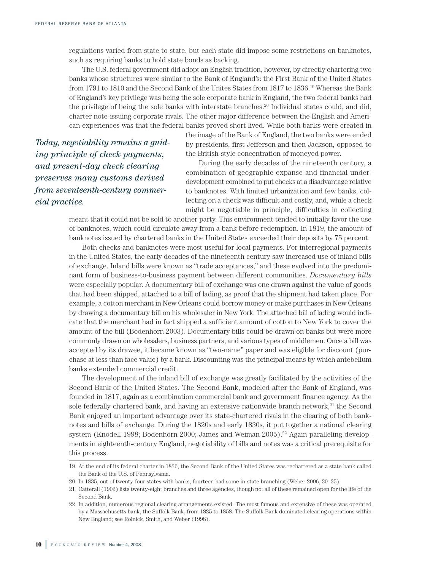regulations varied from state to state, but each state did impose some restrictions on banknotes, such as requiring banks to hold state bonds as backing.

The U.S. federal government did adopt an English tradition, however, by directly chartering two banks whose structures were similar to the Bank of England's: the First Bank of the United States from 1791 to 1810 and the Second Bank of the Unites States from 1817 to 1836. <sup>19</sup> Whereas the Bank of England's key privilege was being the sole corporate bank in England, the two federal banks had the privilege of being the sole banks with interstate branches. <sup>20</sup> Individual states could, and did, charter note-issuing corporate rivals. The other major difference between the English and American experiences was that the federal banks proved short lived. While both banks were created in

*Today, negotiability remains a guiding principle of check payments, and present-day check clearing preserves many customs derived from seventeenth-century commercial practice.*

the image of the Bank of England, the two banks were ended by presidents, first Jefferson and then Jackson, opposed to the British-style concentration of moneyed power.

During the early decades of the nineteenth century, a combination of geographic expanse and financial underdevelopment combined to put checks at a disadvantage relative to banknotes. With limited urbanization and few banks, collecting on a check was difficult and costly, and, while a check might be negotiable in principle, difficulties in collecting

meant that it could not be sold to another party. This environment tended to initially favor the use of banknotes, which could circulate away from a bank before redemption. In 1819, the amount of banknotes issued by chartered banks in the United States exceeded their deposits by 75 percent.

Both checks and banknotes were most useful for local payments. For interregional payments in the United States, the early decades of the nineteenth century saw increased use of inland bills of exchange. Inland bills were known as "trade acceptances," and these evolved into the predominant form of business-to-business payment between different communities. *Documentary bills* were especially popular. A documentary bill of exchange was one drawn against the value of goods that had been shipped, attached to a bill of lading, as proof that the shipment had taken place. For example, a cotton merchant in New Orleans could borrow money or make purchases in New Orleans by drawing a documentary bill on his wholesaler in New York. The attached bill of lading would indicate that the merchant had in fact shipped a sufficient amount of cotton to New York to cover the amount of the bill (Bodenhorn 2003). Documentary bills could be drawn on banks but were more commonly drawn on wholesalers, business partners, and various types of middlemen. Once a bill was accepted by its drawee, it became known as "two-name" paper and was eligible for discount (purchase at less than face value) by a bank. Discounting was the principal means by which antebellum banks extended commercial credit.

The development of the inland bill of exchange was greatly facilitated by the activities of the Second Bank of the United States. The Second Bank, modeled after the Bank of England, was founded in 1817, again as a combination commercial bank and government finance agency. As the sole federally chartered bank, and having an extensive nationwide branch network, <sup>21</sup> the Second Bank enjoyed an important advantage over its state-chartered rivals in the clearing of both banknotes and bills of exchange. During the 1820s and early 1830s, it put together a national clearing system (Knodell 1998; Bodenhorn 2000; James and Weiman 2005). <sup>22</sup> Again paralleling developments in eighteenth-century England, negotiability of bills and notes was a critical prerequisite for this process.

<sup>19.</sup> At the end of its federal charter in 1836, the Second Bank of the United States was rechartered as a state bank called the Bank of the U.S. of Pennsylvania.

<sup>20.</sup> In 1835, out of twenty-four states with banks, fourteen had some in-state branching (Weber 2006, 30–35).

<sup>21.</sup> Catterall (1902) lists twenty-eight branches and three agencies, though not all of these remained open for the life of the Second Bank.

<sup>22.</sup> In addition, numerous regional clearing arrangements existed. The most famous and extensive of these was operated by a Massachusetts bank, the Suffolk Bank, from 1825 to 1858. The Suffolk Bank dominated clearing operations within New England; see Rolnick, Smith, and Weber (1998).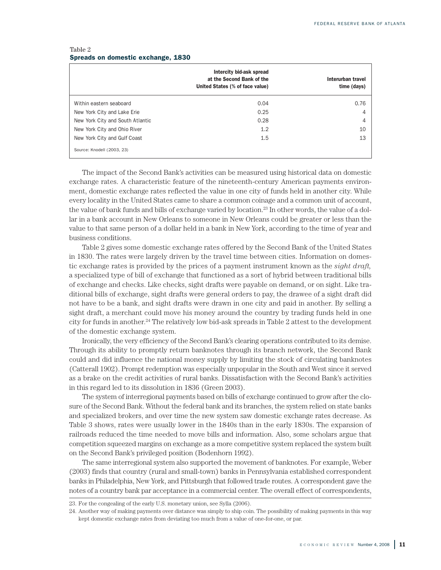| Table 2 |  |                                    |  |
|---------|--|------------------------------------|--|
|         |  | Spreads on domestic exchange, 1830 |  |

|                                  | Intercity bid-ask spread<br>at the Second Bank of the<br>United States (% of face value) | Interurban travel<br>time (days) |
|----------------------------------|------------------------------------------------------------------------------------------|----------------------------------|
| Within eastern seaboard          | 0.04                                                                                     | 0.76                             |
| New York City and Lake Erie      | 0.25                                                                                     | 4                                |
| New York City and South Atlantic | 0.28                                                                                     | 4                                |
| New York City and Ohio River     | 1.2                                                                                      | 10                               |
| New York City and Gulf Coast     | 1.5                                                                                      | 13                               |
| Source: Knodell (2003, 23)       |                                                                                          |                                  |

The impact of the Second Bank's activities can be measured using historical data on domestic exchange rates. A characteristic feature of the nineteenth-century American payments environment, domestic exchange rates reflected the value in one city of funds held in another city. While every locality in the United States came to share a common coinage and a common unit of account, the value of bank funds and bills of exchange varied by location. <sup>23</sup> In other words, the value of a dollar in a bank account in New Orleans to someone in New Orleans could be greater or less than the value to that same person of a dollar held in a bank in New York, according to the time of year and business conditions.

Table 2 gives some domestic exchange rates offered by the Second Bank of the United States in 1830. The rates were largely driven by the travel time between cities. Information on domestic exchange rates is provided by the prices of a payment instrument known as the *sight draft,* a specialized type of bill of exchange that functioned as a sort of hybrid between traditional bills of exchange and checks. Like checks, sight drafts were payable on demand, or on sight. Like traditional bills of exchange, sight drafts were general orders to pay, the drawee of a sight draft did not have to be a bank, and sight drafts were drawn in one city and paid in another. By selling a sight draft, a merchant could move his money around the country by trading funds held in one city for funds in another. <sup>24</sup> The relatively low bid-ask spreads in Table 2 attest to the development of the domestic exchange system.

Ironically, the very efficiency of the Second Bank's clearing operations contributed to its demise. Through its ability to promptly return banknotes through its branch network, the Second Bank could and did influence the national money supply by limiting the stock of circulating banknotes (Catterall 1902). Prompt redemption was especially unpopular in the South and West since it served as a brake on the credit activities of rural banks. Dissatisfaction with the Second Bank's activities in this regard led to its dissolution in 1836 (Green 2003).

The system of interregional payments based on bills of exchange continued to grow after the closure of the Second Bank. Without the federal bank and its branches, the system relied on state banks and specialized brokers, and over time the new system saw domestic exchange rates decrease. As Table 3 shows, rates were usually lower in the 1840s than in the early 1830s. The expansion of railroads reduced the time needed to move bills and information. Also, some scholars argue that competition squeezed margins on exchange as a more competitive system replaced the system built on the Second Bank's privileged position (Bodenhorn 1992).

The same interregional system also supported the movement of banknotes. For example, Weber (2003) finds that country (rural and small-town) banks in Pennsylvania established correspondent banks in Philadelphia, New York, and Pittsburgh that followed trade routes. A correspondent gave the notes of a country bank par acceptance in a commercial center. The overall effect of correspondents,

<sup>23.</sup> For the congealing of the early U.S. monetary union, see Sylla (2006).

<sup>24.</sup> Another way of making payments over distance was simply to ship coin. The possibility of making payments in this way kept domestic exchange rates from deviating too much from a value of one-for-one, or par.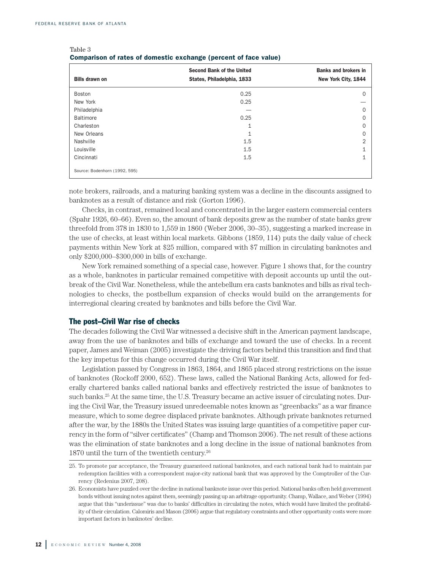$T_0$ <sub>b</sub> $\geq 3$ 

| <b>Bills drawn on</b>         | <b>Second Bank of the United</b><br>States, Philadelphia, 1833 | <b>Banks and brokers in</b><br>New York City, 1844 |  |  |  |
|-------------------------------|----------------------------------------------------------------|----------------------------------------------------|--|--|--|
| Boston                        | 0.25                                                           | $\Omega$                                           |  |  |  |
| New York                      | 0.25                                                           |                                                    |  |  |  |
| Philadelphia                  |                                                                | $\Omega$                                           |  |  |  |
| <b>Baltimore</b>              | 0.25                                                           | $\Omega$                                           |  |  |  |
| Charleston                    | 1                                                              | $\Omega$                                           |  |  |  |
| New Orleans                   | $\mathbf{1}$                                                   | $\Omega$                                           |  |  |  |
| Nashville                     | 1.5                                                            | $\overline{2}$                                     |  |  |  |
| Louisville                    | 1.5                                                            | 1                                                  |  |  |  |
| Cincinnati                    | 1.5                                                            | $\mathbf{1}$                                       |  |  |  |
| Source: Bodenhorn (1992, 595) |                                                                |                                                    |  |  |  |

| Table o                                                          |  |  |  |
|------------------------------------------------------------------|--|--|--|
| Comparison of rates of domestic exchange (percent of face value) |  |  |  |

note brokers, railroads, and a maturing banking system was a decline in the discounts assigned to banknotes as a result of distance and risk (Gorton 1996).

Checks, in contrast, remained local and concentrated in the larger eastern commercial centers (Spahr 1926, 60–66). Even so, the amount of bank deposits grew as the number of state banks grew threefold from 378 in 1830 to 1,559 in 1860 (Weber 2006, 30–35), suggesting a marked increase in the use of checks, at least within local markets. Gibbons (1859, 114) puts the daily value of check payments within New York at \$25 million, compared with \$7 million in circulating banknotes and only \$200,000–\$300,000 in bills of exchange.

New York remained something of a special case, however. Figure 1 shows that, for the country as a whole, banknotes in particular remained competitive with deposit accounts up until the outbreak of the Civil War. Nonetheless, while the antebellum era casts banknotes and bills as rival technologies to checks, the postbellum expansion of checks would build on the arrangements for interregional clearing created by banknotes and bills before the Civil War.

#### **The post–Civil War rise of checks**

The decades following the Civil War witnessed a decisive shift in the American payment landscape, away from the use of banknotes and bills of exchange and toward the use of checks. In a recent paper, James and Weiman (2005) investigate the driving factors behind this transition and find that the key impetus for this change occurred during the Civil War itself.

Legislation passed by Congress in 1863, 1864, and 1865 placed strong restrictions on the issue of banknotes (Rockoff 2000, 652). These laws, called the National Banking Acts, allowed for federally chartered banks called national banks and effectively restricted the issue of banknotes to such banks. <sup>25</sup> At the same time, the U.S. Treasury became an active issuer of circulating notes. During the Civil War, the Treasury issued unredeemable notes known as "greenbacks" as a war finance measure, which to some degree displaced private banknotes. Although private banknotes returned after the war, by the 1880s the United States was issuing large quantities of a competitive paper currency in the form of "silver certificates" (Champ and Thomson 2006). The net result of these actions was the elimination of state banknotes and a long decline in the issue of national banknotes from 1870 until the turn of the twentieth century. 26

<sup>25.</sup> To promote par acceptance, the Treasury guaranteed national banknotes, and each national bank had to maintain par redemption facilities with a correspondent major-city national bank that was approved by the Comptroller of the Currency (Redenius 2007, 208).

<sup>26.</sup> Economists have puzzled overthe decline in national banknote issue overthis period. National banks often held government bonds without issuing notes against them, seemingly passing up an arbitrage opportunity. Champ, Wallace, and Weber (1994) argue that this "underissue" was due to banks' difficulties in circulating the notes, which would have limited the profitability of their circulation. Calomiris and Mason (2006) argue that regulatory constraints and other opportunity costs were more important factors in banknotes' decline.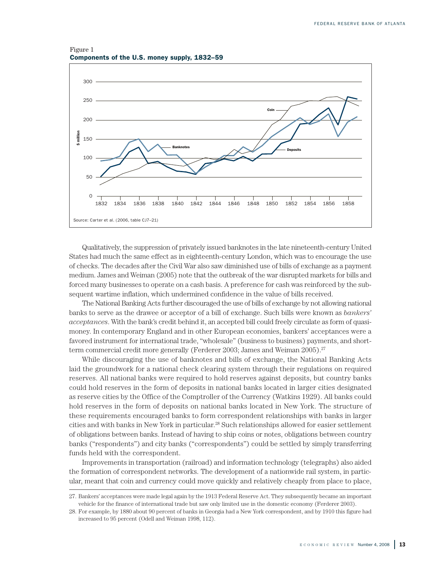Figure 1 **Components of the U.S. money supply, 1832–59**



Qualitatively, the suppression of privately issued banknotes in the late nineteenth-century United States had much the same effect as in eighteenth-century London, which was to encourage the use of checks. The decades after the Civil War also saw diminished use of bills of exchange as a payment medium. James and Weiman (2005) note that the outbreak of the war disrupted markets for bills and forced many businesses to operate on a cash basis. A preference for cash was reinforced by the subsequent wartime inflation, which undermined confidence in the value of bills received.

The National Banking Acts further discouraged the use of bills of exchange by not allowing national banks to serve as the drawee or acceptor of a bill of exchange. Such bills were known as *bankers' acceptances*. With the bank's credit behind it, an accepted bill could freely circulate as form of quasimoney. In contemporary England and in other European economies, bankers' acceptances were a favored instrument for international trade, "wholesale" (business to business) payments, and shortterm commercial credit more generally (Ferderer 2003; James and Weiman 2005). 27

While discouraging the use of banknotes and bills of exchange, the National Banking Acts laid the groundwork for a national check clearing system through their regulations on required reserves. All national banks were required to hold reserves against deposits, but country banks could hold reserves in the form of deposits in national banks located in larger cities designated as reserve cities by the Office of the Comptroller of the Currency (Watkins 1929). All banks could hold reserves in the form of deposits on national banks located in New York. The structure of these requirements encouraged banks to form correspondent relationships with banks in larger cities and with banks in New York in particular. <sup>28</sup> Such relationships allowed for easier settlement of obligations between banks. Instead of having to ship coins or notes, obligations between country banks ("respondents") and city banks ("correspondents") could be settled by simply transferring funds held with the correspondent.

Improvements in transportation (railroad) and information technology (telegraphs) also aided the formation of correspondent networks. The development of a nationwide rail system, in particular, meant that coin and currency could move quickly and relatively cheaply from place to place,

<sup>27.</sup> Bankers' acceptances were made legal again by the 1913 Federal Reserve Act. They subsequently became an important vehicle for the finance of international trade but saw only limited use in the domestic economy (Ferderer 2003).

<sup>28.</sup> For example, by 1880 about 90 percent of banks in Georgia had a New York correspondent, and by 1910 this figure had increased to 95 percent (Odell and Weiman 1998, 112).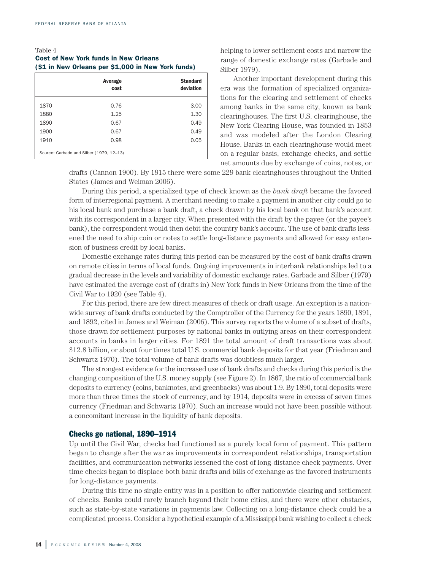#### Table 4 **Cost of New York funds in New Orleans (\$1 in New Orleans per \$1,000 in New York funds)**

|                                          | Average<br>cost | <b>Standard</b><br>deviation |  |
|------------------------------------------|-----------------|------------------------------|--|
| 1870                                     | 0.76            | 3.00                         |  |
| 1880                                     | 1.25            | 1.30                         |  |
| 1890                                     | 0.67            | 0.49                         |  |
| 1900                                     | 0.67            | 0.49                         |  |
| 1910                                     | 0.98            | 0.05                         |  |
| Source: Garbade and Silber (1979, 12-13) |                 |                              |  |

helping to lower settlement costs and narrow the range of domestic exchange rates (Garbade and Silber 1979).

Another important development during this era was the formation of specialized organizations for the clearing and settlement of checks among banks in the same city, known as bank clearinghouses. The first U.S. clearinghouse, the New York Clearing House, was founded in 1853 and was modeled after the London Clearing House. Banks in each clearinghouse would meet on a regular basis, exchange checks, and settle net amounts due by exchange of coins, notes, or

drafts (Cannon 1900). By 1915 there were some 229 bank clearinghouses throughout the United States (James and Weiman 2006).

During this period, a specialized type of check known as the *bank draft* became the favored form of interregional payment. A merchant needing to make a payment in another city could go to his local bank and purchase a bank draft, a check drawn by his local bank on that bank's account with its correspondent in a larger city. When presented with the draft by the payee (or the payee's bank), the correspondent would then debit the country bank's account. The use of bank drafts lessened the need to ship coin or notes to settle long-distance payments and allowed for easy extension of business credit by local banks.

Domestic exchange rates during this period can be measured by the cost of bank drafts drawn on remote cities in terms of local funds. Ongoing improvements in interbank relationships led to a gradual decrease in the levels and variability of domestic exchange rates. Garbade and Silber (1979) have estimated the average cost of (drafts in) New York funds in New Orleans from the time of the Civil War to 1920 (see Table 4).

For this period, there are few direct measures of check or draft usage. An exception is a nationwide survey of bank drafts conducted by the Comptroller of the Currency for the years 1890, 1891, and 1892, cited in James and Weiman (2006). This survey reports the volume of a subset of drafts, those drawn for settlement purposes by national banks in outlying areas on their correspondent accounts in banks in larger cities. For 1891 the total amount of draft transactions was about \$12.8 billion, or about four times total U.S. commercial bank deposits for that year (Friedman and Schwartz 1970). The total volume of bank drafts was doubtless much larger.

The strongest evidence for the increased use of bank drafts and checks during this period is the changing composition of the U.S. money supply (see Figure 2). In 1867, the ratio of commercial bank deposits to currency (coins, banknotes, and greenbacks) was about 1.9. By 1890, total deposits were more than three times the stock of currency, and by 1914, deposits were in excess of seven times currency (Friedman and Schwartz 1970). Such an increase would not have been possible without a concomitant increase in the liquidity of bank deposits.

#### **Checks go national, 1890–1914**

Up until the Civil War, checks had functioned as a purely local form of payment. This pattern began to change after the war as improvements in correspondent relationships, transportation facilities, and communication networks lessened the cost of long-distance check payments. Over time checks began to displace both bank drafts and bills of exchange as the favored instruments for long-distance payments.

During this time no single entity was in a position to offer nationwide clearing and settlement of checks. Banks could rarely branch beyond their home cities, and there were other obstacles, such as state-by-state variations in payments law. Collecting on a long-distance check could be a complicated process. Consider a hypothetical example of a Mississippi bank wishing to collect a check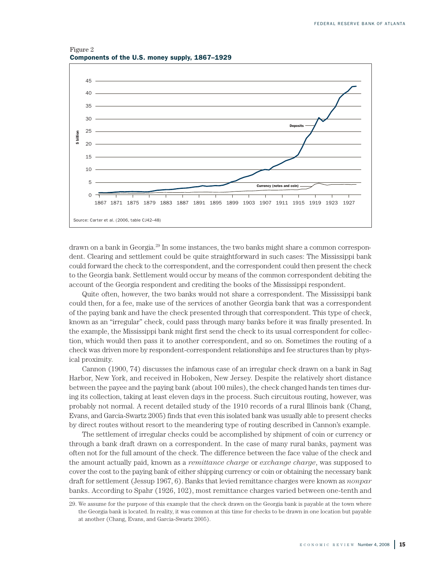Figure 2 **Components of the U.S. money supply, 1867–1929**



drawn on a bank in Georgia. <sup>29</sup> In some instances, the two banks might share a common correspondent. Clearing and settlement could be quite straightforward in such cases: The Mississippi bank could forward the check to the correspondent, and the correspondent could then present the check to the Georgia bank. Settlement would occur by means of the common correspondent debiting the account of the Georgia respondent and crediting the books of the Mississippi respondent.

Quite often, however, the two banks would not share a correspondent. The Mississippi bank could then, for a fee, make use of the services of another Georgia bank that was a correspondent of the paying bank and have the check presented through that correspondent. This type of check, known as an "irregular" check, could pass through many banks before it was finally presented. In the example, the Mississippi bank might first send the check to its usual correspondent for collection, which would then pass it to another correspondent, and so on. Sometimes the routing of a check was driven more by respondent-correspondent relationships and fee structures than by physical proximity.

Cannon (1900, 74) discusses the infamous case of an irregular check drawn on a bank in Sag Harbor, New York, and received in Hoboken, New Jersey. Despite the relatively short distance between the payee and the paying bank (about 100 miles), the check changed hands ten times during its collection, taking at least eleven days in the process. Such circuitous routing, however, was probably not normal. A recent detailed study of the 1910 records of a rural Illinois bank (Chang, Evans, and Garcia-Swartz 2005) finds that even this isolated bank was usually able to present checks by direct routes without resort to the meandering type of routing described in Cannon's example.

The settlement of irregular checks could be accomplished by shipment of coin or currency or through a bank draft drawn on a correspondent. In the case of many rural banks, payment was often not for the full amount of the check. The difference between the face value of the check and the amount actually paid, known as a *remittance charge* or *exchange charge*, was supposed to cover the cost to the paying bank of either shipping currency or coin or obtaining the necessary bank draft for settlement (Jessup 1967, 6). Banks that levied remittance charges were known as *nonpar* banks. According to Spahr (1926, 102), most remittance charges varied between one-tenth and

<sup>29.</sup> We assume for the purpose of this example that the check drawn on the Georgia bank is payable at the town where the Georgia bank is located. In reality, it was common at this time for checks to be drawn in one location but payable at another (Chang, Evans, and Garcia-Swartz 2005).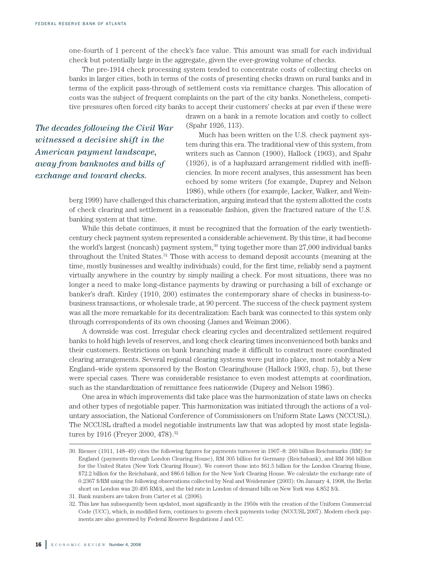one-fourth of 1 percent of the check's face value. This amount was small for each individual check but potentially large in the aggregate, given the ever-growing volume of checks.

The pre-1914 check processing system tended to concentrate costs of collecting checks on banks in larger cities, both in terms of the costs of presenting checks drawn on rural banks and in terms of the explicit pass-through of settlement costs via remittance charges. This allocation of costs was the subject of frequent complaints on the part of the city banks. Nonetheless, competitive pressures often forced city banks to accept their customers' checks at par even if these were

> drawn on a bank in a remote location and costly to collect (Spahr 1926, 113).

*The decades following the Civil War witnessed a decisive shift in the American payment landscape, away from banknotes and bills of exchange and toward checks.*

Much has been written on the U.S. check payment system during this era. The traditional view of this system, from writers such as Cannon (1900), Hallock (1903), and Spahr (1926), is of a haphazard arrangement riddled with inefficiencies. In more recent analyses, this assessment has been echoed by some writers (for example, Duprey and Nelson 1986), while others (for example, Lacker, Walker, and Wein-

berg 1999) have challenged this characterization, arguing instead that the system allotted the costs of check clearing and settlement in a reasonable fashion, given the fractured nature of the U.S. banking system at that time.

While this debate continues, it must be recognized that the formation of the early twentiethcentury check payment system represented a considerable achievement. By this time, it had become the world's largest (noncash) payment system, $^{\rm 30}$  tying together more than  $27,\!000$  individual banks throughout the United States. <sup>31</sup> Those with access to demand deposit accounts (meaning at the time, mostly businesses and wealthy individuals) could, for the first time, reliably send a payment virtually anywhere in the country by simply mailing a check. For most situations, there was no longer a need to make long-distance payments by drawing or purchasing a bill of exchange or banker's draft. Kinley (1910, 200) estimates the contemporary share of checks in business-tobusiness transactions, or wholesale trade, at 90 percent. The success of the check payment system was all the more remarkable for its decentralization: Each bank was connected to this system only through correspondents of its own choosing (James and Weiman 2006).

A downside was cost. Irregular check clearing cycles and decentralized settlement required banks to hold high levels of reserves, and long check clearing times inconvenienced both banks and their customers. Restrictions on bank branching made it difficult to construct more coordinated clearing arrangements. Several regional clearing systems were put into place, most notably a New England–wide system sponsored by the Boston Clearinghouse (Hallock 1903, chap. 5), but these were special cases. There was considerable resistance to even modest attempts at coordination, such as the standardization of remittance fees nationwide (Duprey and Nelson 1986).

One area in which improvements did take place was the harmonization of state laws on checks and other types of negotiable paper. This harmonization was initiated through the actions of a voluntary association, the National Conference of Commissioners on Uniform State Laws (NCCUSL). The NCCUSL drafted a model negotiable instruments law that was adopted by most state legislatures by 1916 (Freyer 2000, 478). 32

<sup>30.</sup> Riesser (1911, 148–49) cites the following figures for payments turnover in 1907–8: 260 billion Reichsmarks (RM) for England (payments through London Clearing House), RM 305 billion for Germany (Reichsbank), and RM 366 billion for the United States (New York Clearing House). We convert those into \$61.5 billion for the London Clearing House, \$72.2 billion for the Reichsbank, and \$86.6 billion for the New York Clearing House. We calculate the exchange rate of 0.2367 \$/RM using the following observations collected by Neal and Weidenmier (2003): On January 4, 1908, the Berlin short on London was 20.495 RM/£, and the bid rate in London of demand bills on New York was 4.852 \$/£.

<sup>31.</sup> Bank numbers are taken from Carter et al. (2006)*.*

<sup>32.</sup> This law has subsequently been updated, most significantly in the 1950s with the creation of the Uniform Commercial Code (UCC), which, in modified form, continues to govern check payments today (NCCUSL 2007). Modern check payments are also governed by Federal Reserve Regulations J and CC.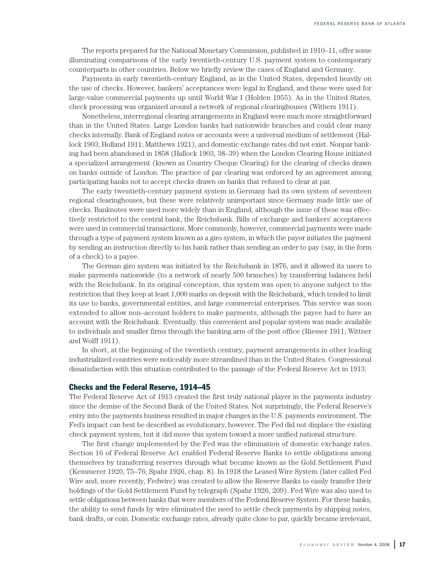The reports prepared for the National Monetary Commission, published in 1910–11, offer some illuminating comparisons of the early twentieth-century U.S. payment system to contemporary counterparts in other countries. Below we briefly review the cases of England and Germany.

Payments in early twentieth-century England, as in the United States, depended heavily on the use of checks. However, bankers' acceptances were legal in England, and these were used for large-value commercial payments up until World War I (Holden 1955). As in the United States, check processing was organized around a network of regional clearinghouses (Withers 1911).

Nonetheless, interregional clearing arrangements in England were much more straightforward than in the United States. Large London banks had nationwide branches and could clear many checks internally. Bank of England notes or accounts were a universal medium of settlement (Hallock 1903; Holland 1911; Matthews 1921), and domestic exchange rates did not exist. Nonpar banking had been abandoned in 1858 (Hallock 1903, 38–39) when the London Clearing House initiated a specialized arrangement (known as Country Cheque Clearing) for the clearing of checks drawn on banks outside of London. The practice of par clearing was enforced by an agreement among participating banks not to accept checks drawn on banks that refused to clear at par.

The early twentieth-century payment system in Germany had its own system of seventeen regional clearinghouses, but these were relatively unimportant since Germany made little use of checks. Banknotes were used more widely than in England, although the issue of these was effectively restricted to the central bank, the Reichsbank. Bills of exchange and bankers' acceptances were used in commercial transactions. More commonly, however, commercial payments were made through a type of payment system known as a giro system, in which the payor initiates the payment by sending an instruction directly to his bank rather than sending an order to pay (say, in the form of a check) to a payee.

The German giro system was initiated by the Reichsbank in 1876, and it allowed its users to make payments nationwide (to a network of nearly 500 branches) by transferring balances held with the Reichsbank. In its original conception, this system was open to anyone subject to the restriction that they keep at least 1,000 marks on deposit with the Reichsbank, which tended to limit its use to banks, governmental entities, and large commercial enterprises. This service was soon extended to allow non–account holders to make payments, although the payee had to have an account with the Reichsbank. Eventually, this convenient and popular system was made available to individuals and smaller firms through the banking arm of the post office (Riesser 1911; Wittner and Wolff 1911).

In short, at the beginning of the twentieth century, payment arrangements in other leading industrialized countries were noticeably more streamlined than in the United States. Congressional dissatisfaction with this situation contributed to the passage of the Federal Reserve Act in 1913.

#### **Checks and the Federal Reserve, 1914–45**

The Federal Reserve Act of 1913 created the first truly national player in the payments industry since the demise of the Second Bank of the United States. Not surprisingly, the Federal Reserve's entry into the payments business resulted in major changes in the U.S. payments environment. The Fed's impact can best be described as evolutionary, however. The Fed did not displace the existing check payment system, but it did move this system toward a more unified national structure.

The first change implemented by the Fed was the elimination of domestic exchange rates. Section 16 of Federal Reserve Act enabled Federal Reserve Banks to settle obligations among themselves by transferring reserves through what became known as the Gold Settlement Fund (Kemmerer 1920, 75–76; Spahr 1926, chap. 8). In 1918 the Leased Wire System (later called Fed Wire and, more recently, Fedwire) was created to allow the Reserve Banks to easily transfer their holdings of the Gold Settlement Fund by telegraph (Spahr 1926, 209). Fed Wire was also used to settle obligations between banks that were members of the Federal Reserve System. For these banks, the ability to send funds by wire eliminated the need to settle check payments by shipping notes, bank drafts, or coin. Domestic exchange rates, already quite close to par, quickly became irrelevant,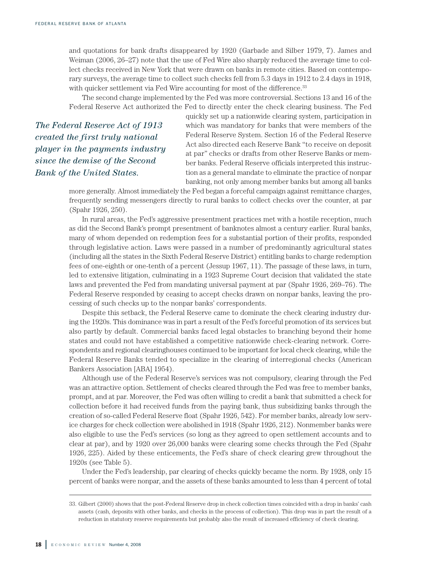and quotations for bank drafts disappeared by 1920 (Garbade and Silber 1979, 7). James and Weiman (2006, 26–27) note that the use of Fed Wire also sharply reduced the average time to collect checks received in New York that were drawn on banks in remote cities. Based on contemporary surveys, the average time to collect such checks fell from 5.3 days in 1912 to 2.4 days in 1918, with quicker settlement via Fed Wire accounting for most of the difference. 33

The second change implemented by the Fed was more controversial. Sections 13 and 16 of the Federal Reserve Act authorized the Fed to directly enter the check clearing business. The Fed

*The Federal Reserve Act of 1913 created the first truly national player in the payments industry since the demise of the Second Bank of the United States.*

quickly set up a nationwide clearing system, participation in which was mandatory for banks that were members of the Federal Reserve System. Section 16 of the Federal Reserve Act also directed each Reserve Bank "to receive on deposit at par" checks or drafts from other Reserve Banks or member banks. Federal Reserve officials interpreted this instruction as a general mandate to eliminate the practice of nonpar banking, not only among member banks but among all banks

more generally. Almost immediately the Fed began a forceful campaign against remittance charges, frequently sending messengers directly to rural banks to collect checks over the counter, at par (Spahr 1926, 250).

In rural areas, the Fed's aggressive presentment practices met with a hostile reception, much as did the Second Bank's prompt presentment of banknotes almost a century earlier. Rural banks, many of whom depended on redemption fees for a substantial portion of their profits, responded through legislative action. Laws were passed in a number of predominantly agricultural states (including all the states in the Sixth Federal Reserve District) entitling banks to charge redemption fees of one-eighth or one-tenth of a percent (Jessup 1967, 11). The passage of these laws, in turn, led to extensive litigation, culminating in a 1923 Supreme Court decision that validated the state laws and prevented the Fed from mandating universal payment at par (Spahr 1926, 269–76). The Federal Reserve responded by ceasing to accept checks drawn on nonpar banks, leaving the processing of such checks up to the nonpar banks' correspondents.

Despite this setback, the Federal Reserve came to dominate the check clearing industry during the 1920s. This dominance was in part a result of the Fed's forceful promotion of its services but also partly by default. Commercial banks faced legal obstacles to branching beyond their home states and could not have established a competitive nationwide check-clearing network. Correspondents and regional clearinghouses continued to be important for local check clearing, while the Federal Reserve Banks tended to specialize in the clearing of interregional checks (American Bankers Association [ABA] 1954).

Although use of the Federal Reserve's services was not compulsory, clearing through the Fed was an attractive option. Settlement of checks cleared through the Fed was free to member banks, prompt, and at par. Moreover, the Fed was often willing to credit a bank that submitted a check for collection before it had received funds from the paying bank, thus subsidizing banks through the creation of so-called Federal Reserve float (Spahr 1926, 542). For member banks, already low service charges for check collection were abolished in 1918 (Spahr 1926, 212). Nonmember banks were also eligible to use the Fed's services (so long as they agreed to open settlement accounts and to clear at par), and by 1920 over 26,000 banks were clearing some checks through the Fed (Spahr 1926, 225). Aided by these enticements, the Fed's share of check clearing grew throughout the 1920s (see Table 5).

Under the Fed's leadership, par clearing of checks quickly became the norm. By 1928, only 15 percent of banks were nonpar, and the assets of these banks amounted to less than 4 percent of total

<sup>33.</sup> Gilbert (2000) shows that the post-Federal Reserve drop in check collection times coincided with a drop in banks' cash assets (cash, deposits with other banks, and checks in the process of collection). This drop was in part the result of a reduction in statutory reserve requirements but probably also the result of increased efficiency of check clearing.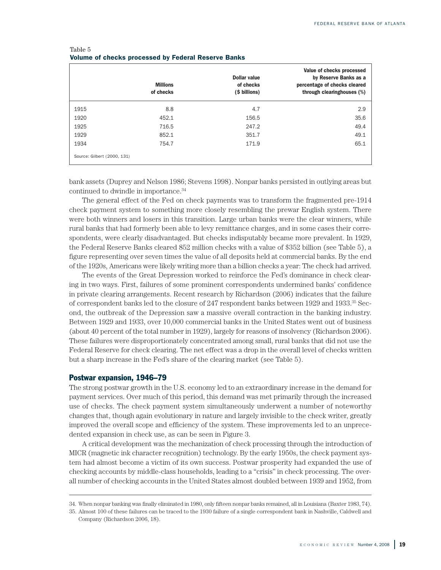|                             | <b>Millions</b><br>of checks | <b>Dollar value</b><br>of checks<br>(\$ billions) | Value of checks processed<br>by Reserve Banks as a<br>percentage of checks cleared<br>through clearinghouses (%) |
|-----------------------------|------------------------------|---------------------------------------------------|------------------------------------------------------------------------------------------------------------------|
| 1915                        | 8.8                          | 4.7                                               | 2.9                                                                                                              |
| 1920                        | 452.1                        | 156.5                                             | 35.6                                                                                                             |
| 1925                        | 716.5                        | 247.2                                             | 49.4                                                                                                             |
| 1929                        | 852.1                        | 351.7                                             | 49.1                                                                                                             |
| 1934                        | 754.7                        | 171.9                                             | 65.1                                                                                                             |
| Source: Gilbert (2000, 131) |                              |                                                   |                                                                                                                  |

#### Table 5 **Volume of checks processed by Federal Reserve Banks**

bank assets (Duprey and Nelson 1986; Stevens 1998). Nonpar banks persisted in outlying areas but continued to dwindle in importance. 34

The general effect of the Fed on check payments was to transform the fragmented pre-1914 check payment system to something more closely resembling the prewar English system. There were both winners and losers in this transition. Large urban banks were the clear winners, while rural banks that had formerly been able to levy remittance charges, and in some cases their correspondents, were clearly disadvantaged. But checks indisputably became more prevalent. In 1929, the Federal Reserve Banks cleared 852 million checks with a value of \$352 billion (see Table 5), a figure representing over seven times the value of all deposits held at commercial banks. By the end of the 1920s, Americans were likely writing more than a billion checks a year: The check had arrived.

The events of the Great Depression worked to reinforce the Fed's dominance in check clearing in two ways. First, failures of some prominent correspondents undermined banks' confidence in private clearing arrangements. Recent research by Richardson (2006) indicates that the failure of correspondent banks led to the closure of 247 respondent banks between 1929 and 1933. <sup>35</sup> Second, the outbreak of the Depression saw a massive overall contraction in the banking industry. Between 1929 and 1933, over 10,000 commercial banks in the United States went out of business (about 40 percent of the total number in 1929), largely for reasons of insolvency (Richardson 2006). These failures were disproportionately concentrated among small, rural banks that did not use the Federal Reserve for check clearing. The net effect was a drop in the overall level of checks written but a sharp increase in the Fed's share of the clearing market (see Table 5).

#### **Postwar expansion, 1946–79**

The strong postwar growth in the U.S. economy led to an extraordinary increase in the demand for payment services. Over much of this period, this demand was met primarily through the increased use of checks. The check payment system simultaneously underwent a number of noteworthy changes that, though again evolutionary in nature and largely invisible to the check writer, greatly improved the overall scope and efficiency of the system. These improvements led to an unprecedented expansion in check use, as can be seen in Figure 3.

A critical development was the mechanization of check processing through the introduction of MICR (magnetic ink character recognition) technology. By the early 1950s, the check payment system had almost become a victim of its own success. Postwar prosperity had expanded the use of checking accounts by middle-class households, leading to a "crisis" in check processing. The overall number of checking accounts in the United States almost doubled between 1939 and 1952, from

<sup>34.</sup> When nonpar banking was finally eliminated in 1980, only fifteen nonpar banks remained, all in Louisiana (Baxter 1983, 74).

<sup>35.</sup> Almost 100 of these failures can be traced to the 1930 failure of a single correspondent bank in Nashville, Caldwell and Company (Richardson 2006, 18).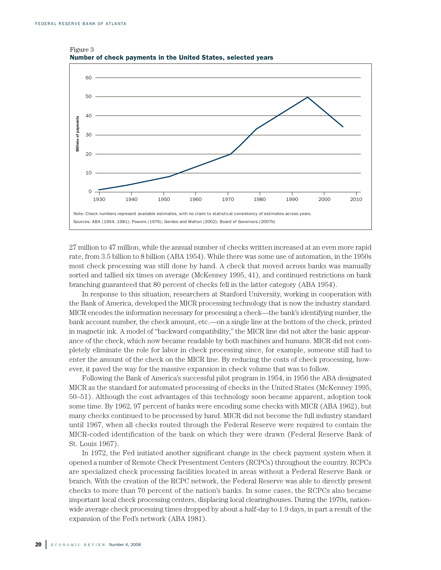

Figure 3 **Number of check payments in the United States, selected years**

27 million to 47 million, while the annual number of checks written increased at an even more rapid rate, from 3.5 billion to 8 billion (ABA 1954). While there was some use of automation, in the 1950s most check processing was still done by hand. A check that moved across banks was manually sorted and tallied six times on average (McKenney 1995, 41), and continued restrictions on bank branching guaranteed that 80 percent of checks fell in the latter category (ABA 1954).

In response to this situation, researchers at Stanford University, working in cooperation with the Bank of America, developed the MICR processing technology that is now the industry standard. MICR encodes the information necessary for processing a check—the bank's identifying number, the bank account number, the check amount, etc.—on a single line at the bottom of the check, printed in magnetic ink. A model of "backward compatibility," the MICR line did not alter the basic appearance of the check, which now became readable by both machines and humans. MICR did not completely eliminate the role for labor in check processing since, for example, someone still had to enter the amount of the check on the MICR line. By reducing the costs of check processing, however, it paved the way for the massive expansion in check volume that was to follow.

Following the Bank of America's successful pilot program in 1954, in 1956 the ABA designated MICR as the standard for automated processing of checks in the United States (McKenney 1995, 50–51). Although the cost advantages of this technology soon became apparent, adoption took some time. By 1962, 97 percent of banks were encoding some checks with MICR (ABA 1962), but many checks continued to be processed by hand. MICR did not become the full industry standard until 1967, when all checks routed through the Federal Reserve were required to contain the MICR-coded identification of the bank on which they were drawn (Federal Reserve Bank of St. Louis 1967).

In 1972, the Fed initiated another significant change in the check payment system when it opened a number of Remote Check Presentment Centers (RCPCs) throughout the country. RCPCs are specialized check processing facilities located in areas without a Federal Reserve Bank or branch. With the creation of the RCPC network, the Federal Reserve was able to directly present checks to more than 70 percent of the nation's banks. In some cases, the RCPCs also became important local check processing centers, displacing local clearinghouses. During the 1970s, nationwide average check processing times dropped by about a half-day to 1.9 days, in part a result of the expansion of the Fed's network (ABA 1981).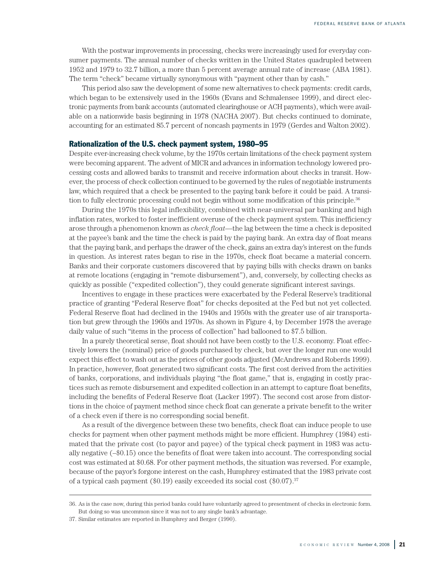With the postwar improvements in processing, checks were increasingly used for everyday consumer payments. The annual number of checks written in the United States quadrupled between 1952 and 1979 to 32.7 billion, a more than 5 percent average annual rate of increase (ABA 1981). The term "check" became virtually synonymous with "payment other than by cash."

This period also saw the development of some new alternatives to check payments: credit cards, which began to be extensively used in the 1960s (Evans and Schmalensee 1999), and direct electronic payments from bank accounts (automated clearinghouse or ACH payments), which were available on a nationwide basis beginning in 1978 (NACHA 2007). But checks continued to dominate, accounting for an estimated 85.7 percent of noncash payments in 1979 (Gerdes and Walton 2002).

#### **Rationalization of the U.S. check payment system, 1980–95**

Despite ever-increasing check volume, by the 1970s certain limitations of the check payment system were becoming apparent. The advent of MICR and advances in information technology lowered processing costs and allowed banks to transmit and receive information about checks in transit. However, the process of check collection continued to be governed by the rules of negotiable instruments law, which required that a check be presented to the paying bank before it could be paid. A transition to fully electronic processing could not begin without some modification of this principle. 36

During the 1970s this legal inflexibility, combined with near-universal par banking and high inflation rates, worked to foster inefficient overuse of the check payment system. This inefficiency arose through a phenomenon known as *check float*—the lag between the time a check is deposited at the payee's bank and the time the check is paid by the paying bank. An extra day of float means that the paying bank, and perhaps the drawer of the check, gains an extra day's interest on the funds in question. As interest rates began to rise in the 1970s, check float became a material concern. Banks and their corporate customers discovered that by paying bills with checks drawn on banks at remote locations (engaging in "remote disbursement"), and, conversely, by collecting checks as quickly as possible ("expedited collection"), they could generate significant interest savings.

Incentives to engage in these practices were exacerbated by the Federal Reserve's traditional practice of granting "Federal Reserve float" for checks deposited at the Fed but not yet collected. Federal Reserve float had declined in the 1940s and 1950s with the greater use of air transportation but grew through the 1960s and 1970s. As shown in Figure 4, by December 1978 the average daily value of such "items in the process of collection" had ballooned to \$7.5 billion.

In a purely theoretical sense, float should not have been costly to the U.S. economy. Float effectively lowers the (nominal) price of goods purchased by check, but over the longer run one would expect this effect to wash out as the prices of other goods adjusted (McAndrews and Roberds 1999). In practice, however, float generated two significant costs. The first cost derived from the activities of banks, corporations, and individuals playing "the float game," that is, engaging in costly practices such as remote disbursement and expedited collection in an attempt to capture float benefits, including the benefits of Federal Reserve float (Lacker 1997). The second cost arose from distortions in the choice of payment method since check float can generate a private benefit to the writer of a check even if there is no corresponding social benefit.

As a result of the divergence between these two benefits, check float can induce people to use checks for payment when other payment methods might be more efficient. Humphrey (1984) estimated that the private cost (to payor and payee) of the typical check payment in 1983 was actually negative (–\$0.15) once the benefits of float were taken into account. The corresponding social cost was estimated at \$0.68. For other payment methods, the situation was reversed. For example, because of the payor's forgone interest on the cash, Humphrey estimated that the 1983 private cost of a typical cash payment (\$0.19) easily exceeded its social cost (\$0.07). 37

<sup>36.</sup> As is the case now, during this period banks could have voluntarily agreed to presentment of checks in electronic form. But doing so was uncommon since it was not to any single bank's advantage.

<sup>37.</sup> Similar estimates are reported in Humphrey and Berger (1990).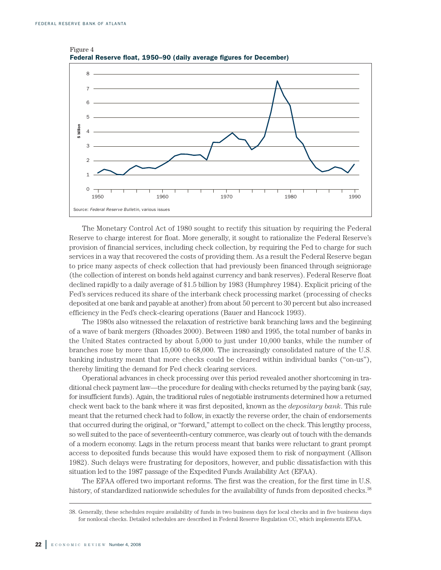

Figure 4 **Federal Reserve float, 1950–90 (daily average figures for December)**

The Monetary Control Act of 1980 sought to rectify this situation by requiring the Federal Reserve to charge interest for float. More generally, it sought to rationalize the Federal Reserve's provision of financial services, including check collection, by requiring the Fed to charge for such services in a way that recovered the costs of providing them. As a result the Federal Reserve began to price many aspects of check collection that had previously been financed through seigniorage (the collection of interest on bonds held against currency and bank reserves). Federal Reserve float declined rapidly to a daily average of \$1.5 billion by 1983 (Humphrey 1984). Explicit pricing of the Fed's services reduced its share of the interbank check processing market (processing of checks deposited at one bank and payable at another) from about 50 percent to 30 percent but also increased efficiency in the Fed's check-clearing operations (Bauer and Hancock 1993).

The 1980s also witnessed the relaxation of restrictive bank branching laws and the beginning of a wave of bank mergers (Rhoades 2000). Between 1980 and 1995, the total number of banks in the United States contracted by about 5,000 to just under 10,000 banks, while the number of branches rose by more than 15,000 to 68,000. The increasingly consolidated nature of the U.S. banking industry meant that more checks could be cleared within individual banks ("on-us"), thereby limiting the demand for Fed check clearing services.

Operational advances in check processing over this period revealed another shortcoming in traditional check payment law—the procedure for dealing with checks returned by the paying bank (say, for insufficient funds). Again, the traditional rules of negotiable instruments determined how a returned check went back to the bank where it was first deposited, known as the *depositary bank*. This rule meant that the returned check had to follow, in exactly the reverse order, the chain of endorsements that occurred during the original, or "forward," attempt to collect on the check. This lengthy process, so well suited to the pace of seventeenth-century commerce, was clearly out of touch with the demands of a modern economy. Lags in the return process meant that banks were reluctant to grant prompt access to deposited funds because this would have exposed them to risk of nonpayment (Allison 1982). Such delays were frustrating for depositors, however, and public dissatisfaction with this situation led to the 1987 passage of the Expedited Funds Availability Act (EFAA).

The EFAA offered two important reforms. The first was the creation, for the first time in U.S. history, of standardized nationwide schedules for the availability of funds from deposited checks.<sup>38</sup>

<sup>38.</sup> Generally, these schedules require availability of funds in two business days for local checks and in five business days for nonlocal checks. Detailed schedules are described in Federal Reserve Regulation CC, which implements EFAA.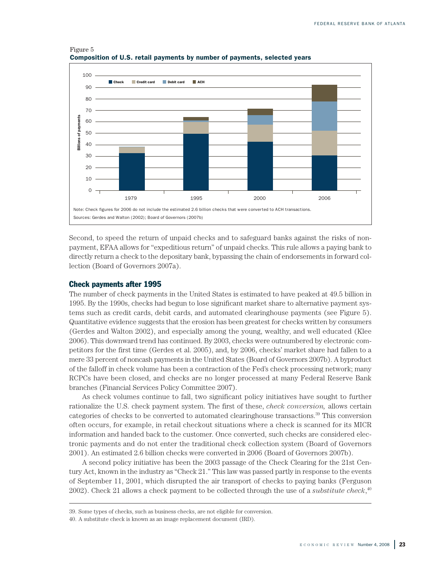

Figure 5 **Composition of U.S. retail payments by number of payments, selected years**

Second, to speed the return of unpaid checks and to safeguard banks against the risks of nonpayment, EFAA allows for "expeditious return" of unpaid checks. This rule allows a paying bank to directly return a check to the depositary bank, bypassing the chain of endorsements in forward collection (Board of Governors 2007a).

#### **Check payments after 1995**

The number of check payments in the United States is estimated to have peaked at 49.5 billion in 1995. By the 1990s, checks had begun to lose significant market share to alternative payment systems such as credit cards, debit cards, and automated clearinghouse payments (see Figure 5). Quantitative evidence suggests that the erosion has been greatest for checks written by consumers (Gerdes and Walton 2002), and especially among the young, wealthy, and well educated (Klee 2006). This downward trend has continued. By 2003, checks were outnumbered by electronic competitors for the first time (Gerdes et al. 2005), and, by 2006, checks' market share had fallen to a mere 33 percent of noncash payments in the United States (Board of Governors 2007b). A byproduct of the falloff in check volume has been a contraction of the Fed's check processing network; many RCPCs have been closed, and checks are no longer processed at many Federal Reserve Bank branches (Financial Services Policy Committee 2007).

As check volumes continue to fall, two significant policy initiatives have sought to further rationalize the U.S. check payment system. The first of these, *check conversion,* allows certain categories of checks to be converted to automated clearinghouse transactions. <sup>39</sup> This conversion often occurs, for example, in retail checkout situations where a check is scanned for its MICR information and handed back to the customer. Once converted, such checks are considered electronic payments and do not enter the traditional check collection system (Board of Governors 2001). An estimated 2.6 billion checks were converted in 2006 (Board of Governors 2007b).

A second policy initiative has been the 2003 passage of the Check Clearing for the 21st Century Act, known in the industry as "Check 21." This law was passed partly in response to the events of September 11, 2001, which disrupted the air transport of checks to paying banks (Ferguson 2002). Check 21 allows a check payment to be collected through the use of a *substitute check*, 40

<sup>39.</sup> Some types of checks, such as business checks, are not eligible for conversion.

<sup>40.</sup> A substitute check is known as an image replacement document (IRD).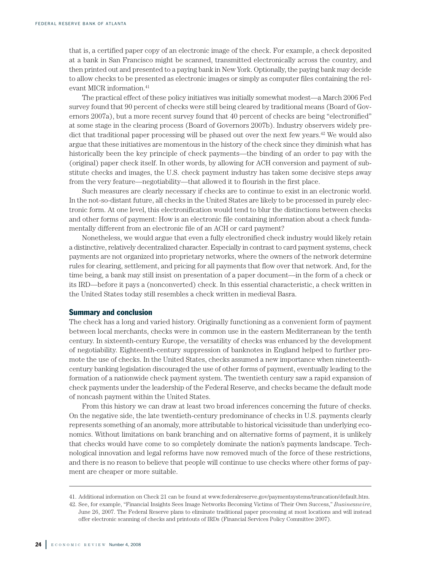that is, a certified paper copy of an electronic image of the check. For example, a check deposited at a bank in San Francisco might be scanned, transmitted electronically across the country, and then printed out and presented to a paying bank in New York. Optionally, the paying bank may decide to allow checks to be presented as electronic images or simply as computer files containing the relevant MICR information. 41

The practical effect of these policy initiatives was initially somewhat modest—a March 2006 Fed survey found that 90 percent of checks were still being cleared by traditional means (Board of Governors 2007a), but a more recent survey found that 40 percent of checks are being "electronified" at some stage in the clearing process (Board of Governors 2007b). Industry observers widely predict that traditional paper processing will be phased out over the next few years. <sup>42</sup> We would also argue that these initiatives are momentous in the history of the check since they diminish what has historically been the key principle of check payments—the binding of an order to pay with the (original) paper check itself. In other words, by allowing for ACH conversion and payment of substitute checks and images, the U.S. check payment industry has taken some decisive steps away from the very feature—negotiability—that allowed it to flourish in the first place.

Such measures are clearly necessary if checks are to continue to exist in an electronic world. In the not-so-distant future, all checks in the United States are likely to be processed in purely electronic form. At one level, this electronification would tend to blur the distinctions between checks and other forms of payment: How is an electronic file containing information about a check fundamentally different from an electronic file of an ACH or card payment?

Nonetheless, we would argue that even a fully electronified check industry would likely retain a distinctive, relatively decentralized character. Especially in contrast to card payment systems, check payments are not organized into proprietary networks, where the owners of the network determine rules for clearing, settlement, and pricing for all payments that flow over that network. And, for the time being, a bank may still insist on presentation of a paper document—in the form of a check or its IRD—before it pays a (nonconverted) check. In this essential characteristic, a check written in the United States today still resembles a check written in medieval Basra.

#### **Summary and conclusion**

The check has a long and varied history. Originally functioning as a convenient form of payment between local merchants, checks were in common use in the eastern Mediterranean by the tenth century. In sixteenth-century Europe, the versatility of checks was enhanced by the development of negotiability. Eighteenth-century suppression of banknotes in England helped to further promote the use of checks. In the United States, checks assumed a new importance when nineteenthcentury banking legislation discouraged the use of other forms of payment, eventually leading to the formation of a nationwide check payment system. The twentieth century saw a rapid expansion of check payments under the leadership of the Federal Reserve, and checks became the default mode of noncash payment within the United States.

From this history we can draw at least two broad inferences concerning the future of checks. On the negative side, the late twentieth-century predominance of checks in U.S. payments clearly represents something of an anomaly, more attributable to historical vicissitude than underlying economics. Without limitations on bank branching and on alternative forms of payment, it is unlikely that checks would have come to so completely dominate the nation's payments landscape. Technological innovation and legal reforms have now removed much of the force of these restrictions, and there is no reason to believe that people will continue to use checks where other forms of payment are cheaper or more suitable.

<sup>41.</sup> Additional information on Check 21 can be found at www.federalreserve.gov/paymentsystems/truncation/default.htm.

<sup>42.</sup> See, for example, "Financial Insights Sees Image Networks Becoming Victims of Their Own Success," *Businesswire*, June 26, 2007. The Federal Reserve plans to eliminate traditional paper processing at most locations and will instead offer electronic scanning of checks and printouts of IRDs (Financial Services Policy Committee 2007).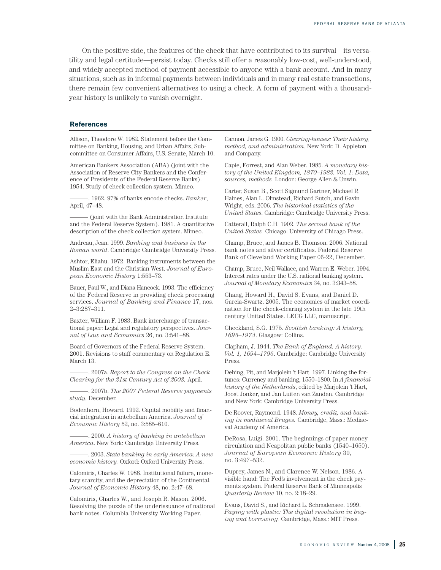On the positive side, the features of the check that have contributed to its survival—its versatility and legal certitude—persist today. Checks still offer a reasonably low-cost, well-understood, and widely accepted method of payment accessible to anyone with a bank account. And in many situations, such as in informal payments between individuals and in many real estate transactions, there remain few convenient alternatives to using a check. A form of payment with a thousandyear history is unlikely to vanish overnight.

#### **References**

Allison, Theodore W. 1982. Statement before the Committee on Banking, Housing, and Urban Affairs, Subcommittee on Consumer Affairs, U.S. Senate, March 10.

American Bankers Association (ABA) (joint with the Association of Reserve City Bankers and the Conference of Presidents of the Federal Reserve Banks). 1954. Study of check collection system. Mimeo.

———. 1962. 97% of banks encode checks. *Banker*, April, 47–48.

(joint with the Bank Administration Institute) and the Federal Reserve System). 1981. A quantitative description of the check collection system. Mimeo.

Andreau, Jean. 1999. *Banking and business in the Roman world*. Cambridge: Cambridge University Press.

Ashtor, Eliahu. 1972. Banking instruments between the Muslim East and the Christian West. *Journal of European Economic History* 1:553–73.

Bauer, Paul W., and Diana Hancock. 1993. The efficiency of the Federal Reserve in providing check processing services. *Journal of Banking and Finance* 17, nos. 2–3:287–311.

Baxter, William F. 1983. Bank interchange of transactional paper: Legal and regulatory perspectives. *Journal of Law and Economics* 26, no. 3:541–88.

Board of Governors of the Federal Reserve System. 2001. Revisions to staff commentary on Regulation E. March 13.

———. 2007a. *Report to the Congress on the Check Clearing for the 21st Century Act of 2003.* April.

———. 2007b. *The 2007 Federal Reserve payments study.* December.

Bodenhorn, Howard. 1992. Capital mobility and financial integration in antebellum America. *Journal of Economic History* 52, no. 3:585–610.

———. 2000. *A history of banking in antebellum America*. New York: Cambridge University Press.

———. 2003. *State banking in early America: A new economic history.* Oxford: Oxford University Press.

Calomiris, Charles W. 1988. Institutional failure, monetary scarcity, and the depreciation of the Continental. *Journal of Economic History* 48, no. 2:47–68.

Calomiris, Charles W., and Joseph R. Mason. 2006. Resolving the puzzle of the underissuance of national bank notes. Columbia University Working Paper.

Cannon, James G. 1900. *Clearing-houses: Their history, method, and administration.* New York: D. Appleton and Company.

Capie, Forrest, and Alan Weber. 1985. *A monetary history of the United Kingdom, 1870–1982. Vol. 1: Data, sources, methods.* London: George Allen & Unwin.

Carter, Susan B., Scott Sigmund Gartner, Michael R. Haines, Alan L. Olmstead, Richard Sutch, and Gavin Wright, eds. 2006. *The historical statistics of the United States*. Cambridge: Cambridge University Press.

Catterall, Ralph C.H. 1902. *The second bank of the United States.* Chicago: University of Chicago Press.

Champ, Bruce, and James B. Thomson. 2006. National bank notes and silver certificates. Federal Reserve Bank of Cleveland Working Paper 06-22, December.

Champ, Bruce, Neil Wallace, and Warren E. Weber. 1994. Interest rates under the U.S. national banking system. *Journal of Monetary Economics* 34, no. 3:343–58.

Chang, Howard H., David S. Evans, and Daniel D. Garcia-Swartz. 2005. The economics of market coordination for the check-clearing system in the late 19th century United States. LECG LLC, manuscript.

Checkland, S.G. 1975. *Scottish banking: A history, 1695–1973*. Glasgow: Collins.

Clapham, J. 1944. *The Bank of England: A history*. *Vol. 1, 1694–1796*. Cambridge: Cambridge University Press.

Dehing, Pit, and Marjolein 't Hart. 1997. Linking the fortunes: Currency and banking, 1550–1800. In *A financial history of the Netherlands*, edited by Marjolein 't Hart, Joost Jonker, and Jan Luiten van Zanden. Cambridge and New York: Cambridge University Press.

De Roover, Raymond. 1948. *Money, credit, and banking in mediaeval Bruges.* Cambridge, Mass.: Mediaeval Academy of America.

DeRosa, Luigi. 2001. The beginnings of paper money circulation and Neapolitan public banks (1540–1650). *Journal of European Economic History* 30, no. 3:497–532.

Duprey, James N., and Clarence W. Nelson. 1986. A visible hand: The Fed's involvement in the check payments system. Federal Reserve Bank of Minneapolis *Quarterly Review* 10, no. 2:18–29.

Evans, David S., and Richard L. Schmalensee. 1999. *Paying with plastic: The digital revolution in buying and borrowing.* Cambridge, Mass.: MIT Press.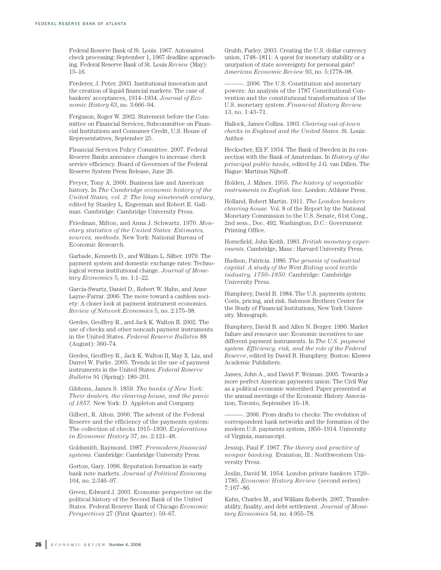Federal Reserve Bank of St. Louis. 1967. Automated check processing: September 1, 1967 deadline approaching. Federal Reserve Bank of St. Louis *Review* (May): 15–16.

Ferderer, J. Peter. 2003. Institutional innovation and the creation of liquid financial markets: The case of bankers' acceptances, 1914–1934. *Journal of Economic History* 63, no. 3:666–94.

Ferguson, Roger W. 2002. Statement before the Committee on Financial Services, Subcommittee on Financial Institutions and Consumer Credit, U.S. House of Representatives, September 25.

Financial Services Policy Committee. 2007. Federal Reserve Banks announce changes to increase check service efficiency. Board of Governors of the Federal Reserve System Press Release, June 26.

Freyer, Tony A. 2000. Business law and American history. In *The Cambridge economic history of the United States, vol. 2: The long nineteenth century*, edited by Stanley L. Engerman and Robert E. Gallman. Cambridge: Cambridge University Press.

Friedman, Milton, and Anna J. Schwartz. 1970. *Monetary statistics of the United States: Estimates, sources, methods*. New York: National Bureau of Economic Research.

Garbade, Kenneth D., and William L. Silber. 1979. The payment system and domestic exchange rates: Technological versus institutional change. *Journal of Monetary Economics* 5, no. 1:1–22.

Garcia-Swartz, Daniel D., Robert W. Hahn, and Anne Layne-Farrar. 2006. The move toward a cashless society: A closer look at payment instrument economics. *Review of Network Economics* 5, no. 2:175–98.

Gerdes, Geoffrey R., and Jack K. Walton II. 2002. The use of checks and other noncash payment instruments in the United States. *Federal Reserve Bulletin* 88 (August): 360–74.

Gerdes, Geoffrey R., Jack K. Walton II, May X. Liu, and Darrel W. Parke. 2005. Trends in the use of payment instruments in the United States. *Federal Reserve Bulletin* 91 (Spring): 180–201.

Gibbons, James S. 1859. *The banks of New York: Their dealers, the clearing-house, and the panic of 1857.* New York: D. Appleton and Company.

Gilbert, R. Alton. 2000. The advent of the Federal Reserve and the efficiency of the payments system: The collection of checks 1915–1930. *Explorations in Economic History* 37, no. 2:121–48.

Goldsmith, Raymond. 1987. *Premodern financial systems*. Cambridge: Cambridge University Press.

Gorton, Gary. 1996. Reputation formation in early bank note markets. *Journal of Political Economy* 104, no. 2:346–97.

Green, Edward J. 2003. Economic perspective on the political history of the Second Bank of the United States. Federal Reserve Bank of Chicago *Economic Perspectives* 27 (First Quarter): 59–67.

Grubb, Farley. 2003. Creating the U.S. dollar currency union, 1748–1811: A quest for monetary stability or a usurpation of state sovereignty for personal gain? *American Economic Review* 93, no. 5:1778–98.

-. 2006. The U.S. Constitution and monetary powers: An analysis of the 1787 Constitutional Convention and the constitutional transformation of the U.S. monetary system. *Financial History Review* 13, no. 1:43–71.

Hallock, James Collins. 1903. *Clearing out-of-town checks in England and the United States*. St. Louis: Author.

Heckscher, Eli F. 1934. The Bank of Sweden in its connection with the Bank of Amsterdam. In *History of the principal public banks*, edited by J.G. van Dillen. The Hague: Martinus Nijhoff.

Holden, J. Milnes. 1955. *The history of negotiable instruments in English law*. London: Athlone Press.

Holland, Robert Martin. 1911. *The London bankers clearing house.* Vol. 8 of the Report by the National Monetary Commission to the U.S. Senate, 61st Cong., 2nd sess., Doc. 492. Washington, D.C.: Government Printing Office.

Horsefield, John Keith. 1983. *British monetary experiments*. Cambridge, Mass.: Harvard University Press.

Hudson, Patricia. 1986. *The genesis of industrial capital: A study of the West Riding wool textile industry, 1750–1850*. Cambridge: Cambridge University Press.

Humphrey, David B. 1984. The U.S. payments system: Costs, pricing, and risk. Salomon Brothers Center for the Study of Financial Institutions, New York University. Monograph.

Humphrey, David B. and Allen N. Berger. 1990. Market failure and resource use: Economic incentives to use different payment instruments. In *The U.S. payment system: Efficiency, risk, and the role of the Federal Reserve*, edited by David B. Humphrey. Boston: Kluwer Academic Publishers.

James, John A., and David F. Weiman. 2005. Towards a more perfect American payments union: The Civil War as a political economic watershed. Paper presented at the annual meetings of the Economic History Association, Toronto, September 16–18.

———. 2006. From drafts to checks: The evolution of correspondent bank networks and the formation of the modern U.S. payments system, 1850–1914. University of Virginia, manuscript.

Jessup, Paul F. 1967. *The theory and practice of nonpar banking.* Evanston, Ill.: Northwestern University Press.

Joslin, David M. 1954. London private bankers 1720– 1785. *Economic History Review* (second series) 7:167–86.

Kahn, Charles M., and William Roberds. 2007. Transferability, finality, and debt settlement. *Journal of Monetary Economics* 54, no. 4:955–78.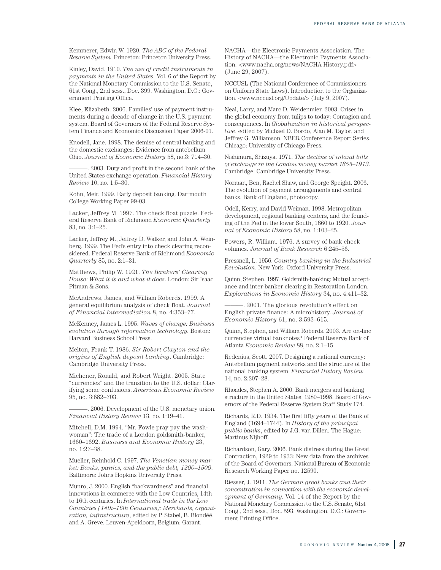Kemmerer, Edwin W. 1920. *The ABC of the Federal Reserve System.* Princeton: Princeton University Press.

Kinley, David. 1910. *The use of credit instruments in payments in the United States.* Vol. 6 of the Report by the National Monetary Commission to the U.S. Senate, 61st Cong., 2nd sess., Doc. 399. Washington, D.C.: Government Printing Office.

Klee, Elizabeth. 2006. Families' use of payment instruments during a decade of change in the U.S. payment system. Board of Governors of the Federal Reserve System Finance and Economics Discussion Paper 2006-01.

Knodell, Jane. 1998. The demise of central banking and the domestic exchanges: Evidence from antebellum Ohio. *Journal of Economic History* 58, no.3: 714–30.

. 2003. Duty and profit in the second bank of the United States exchange operation. *Financial History Review* 10, no. 1:5–30.

Kohn, Meir. 1999. Early deposit banking. Dartmouth College Working Paper 99-03.

Lacker, Jeffrey M. 1997. The check float puzzle. Federal Reserve Bank of Richmond *Economic Quarterly* 83, no. 3:1–25.

Lacker, Jeffrey M., Jeffrey D. Walker, and John A. Weinberg. 1999. The Fed's entry into check clearing reconsidered. Federal Reserve Bank of Richmond *Economic Quarterly* 85, no. 2:1–31.

Matthews, Philip W. 1921. *The Bankers' Clearing House: What it is and what it does*. London: Sir Isaac Pitman & Sons.

McAndrews, James, and William Roberds. 1999. A general equilibrium analysis of check float. *Journal of Financial Intermediation* 8, no. 4:353–77.

McKenney, James L. 1995. *Waves of change: Business evolution through information technology.* Boston: Harvard Business School Press.

Melton, Frank T. 1986. *Sir Robert Clayton and the origins of English deposit banking*. Cambridge: Cambridge University Press.

Michener, Ronald, and Robert Wright. 2005. State "currencies" and the transition to the U.S. dollar: Clarifying some confusions. *American Economic Review* 95, no. 3:682–703.

———. 2006. Development of the U.S. monetary union. *Financial History Review* 13, no. 1:19–41.

Mitchell, D.M. 1994. "Mr. Fowle pray pay the washwoman": The trade of a London goldsmith-banker, 1660–1692. *Business and Economic History* 23, no. 1:27–38.

Mueller, Reinhold C. 1997. *The Venetian money market: Banks, panics, and the public debt, 1200–1500*. Baltimore: Johns Hopkins University Press.

Munro, J. 2000. English "backwardness" and financial innovations in commerce with the Low Countries, 14th to 16th centuries. In *International trade in the Low Countries (14th–16th Centuries): Merchants, organisation, infrastructure*, edited by P. Stabel, B. Blondéé, and A. Greve. Leuven-Apeldoorn, Belgium: Garant.

NACHA—the Electronic Payments Association. The History of NACHA—the Electronic Payments Association. <www.nacha.org/news/NACHA History.pdf> (June 29, 2007).

NCCUSL (The National Conference of Commissioners on Uniform State Laws). Introduction to the Organization. <www.nccusl.org/Update/> (July 9, 2007).

Neal, Larry, and Marc D. Weidenmier. 2003. Crises in the global economy from tulips to today: Contagion and consequences. In *Globalization in historical perspective*, edited by Michael D. Bordo, Alan M. Taylor, and Jeffrey G. Williamson. NBER Conference Report Series. Chicago: University of Chicago Press.

Nishimura, Shizuya. 1971. *The decline of inland bills of exchange in the London money market 1855–1913*. Cambridge: Cambridge University Press.

Norman, Ben, Rachel Shaw, and George Speight. 2006. The evolution of payment arrangements and central banks. Bank of England, photocopy.

Odell, Kerry, and David Weiman. 1998. Metropolitan development, regional banking centers, and the founding of the Fed in the lower South, 1860 to 1920. *Journal of Economic History* 58, no. 1:103–25.

Powers, R. William. 1976. A survey of bank check volumes. *Journal of Bank Research* 6:245–56.

Pressnell, L. 1956. *Country banking in the Industrial Revolution*. New York: Oxford University Press.

Quinn, Stephen. 1997. Goldsmith-banking: Mutual acceptance and inter-banker clearing in Restoration London. *Explorations in Economic History* 34, no. 4:411–32.

-. 2001. The glorious revolution's effect on English private finance: A microhistory. *Journal of Economic History* 61, no. 3:593–615.

Quinn, Stephen, and William Roberds. 2003. Are on-line currencies virtual banknotes? Federal Reserve Bank of Atlanta *Economic Review* 88, no. 2:1–15.

Redenius, Scott. 2007. Designing a national currency: Antebellum payment networks and the structure of the national banking system. *Financial History Review* 14, no. 2:207–28.

Rhoades, Stephen A. 2000. Bank mergers and banking structure in the United States, 1980–1998. Board of Governors of the Federal Reserve System Staff Study 174.

Richards, R.D. 1934. The first fifty years of the Bank of England (1694–1744). In *History of the principal public banks*, edited by J.G. van Dillen. The Hague: Martinus Nijhoff.

Richardson, Gary. 2006. Bank distress during the Great Contraction, 1929 to 1933: New data from the archives of the Board of Governors. National Bureau of Economic Research Working Paper no. 12590.

Riesser, J. 1911. *The German great banks and their concentration in connection with the economic development of Germany.* Vol. 14 of the Report by the National Monetary Commission to the U.S. Senate, 61st Cong., 2nd sess., Doc. 593. Washington, D.C.: Government Printing Office.